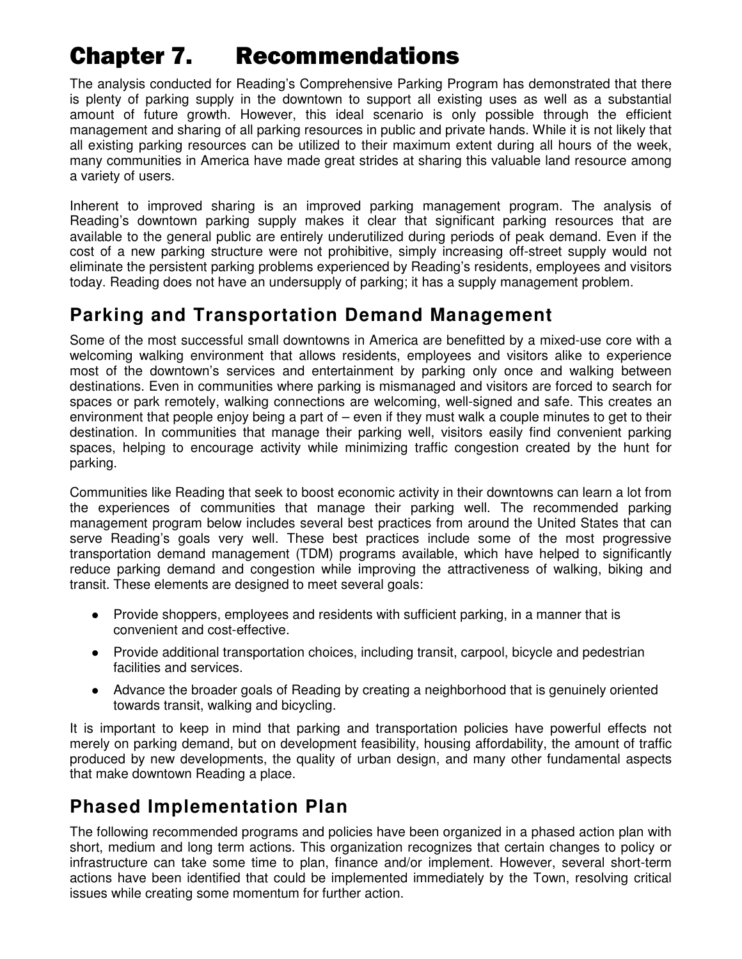# Chapter 7. Recommendations

The analysis conducted for Reading's Comprehensive Parking Program has demonstrated that there is plenty of parking supply in the downtown to support all existing uses as well as a substantial amount of future growth. However, this ideal scenario is only possible through the efficient management and sharing of all parking resources in public and private hands. While it is not likely that all existing parking resources can be utilized to their maximum extent during all hours of the week, many communities in America have made great strides at sharing this valuable land resource among a variety of users.

Inherent to improved sharing is an improved parking management program. The analysis of Reading's downtown parking supply makes it clear that significant parking resources that are available to the general public are entirely underutilized during periods of peak demand. Even if the cost of a new parking structure were not prohibitive, simply increasing off-street supply would not eliminate the persistent parking problems experienced by Reading's residents, employees and visitors today. Reading does not have an undersupply of parking; it has a supply management problem.

# **Parking and Transportation Demand Management**

Some of the most successful small downtowns in America are benefitted by a mixed-use core with a welcoming walking environment that allows residents, employees and visitors alike to experience most of the downtown's services and entertainment by parking only once and walking between destinations. Even in communities where parking is mismanaged and visitors are forced to search for spaces or park remotely, walking connections are welcoming, well-signed and safe. This creates an environment that people enjoy being a part of – even if they must walk a couple minutes to get to their destination. In communities that manage their parking well, visitors easily find convenient parking spaces, helping to encourage activity while minimizing traffic congestion created by the hunt for parking.

Communities like Reading that seek to boost economic activity in their downtowns can learn a lot from the experiences of communities that manage their parking well. The recommended parking management program below includes several best practices from around the United States that can serve Reading's goals very well. These best practices include some of the most progressive transportation demand management (TDM) programs available, which have helped to significantly reduce parking demand and congestion while improving the attractiveness of walking, biking and transit. These elements are designed to meet several goals:

- Provide shoppers, employees and residents with sufficient parking, in a manner that is convenient and cost-effective.
- Provide additional transportation choices, including transit, carpool, bicycle and pedestrian facilities and services.
- Advance the broader goals of Reading by creating a neighborhood that is genuinely oriented towards transit, walking and bicycling.

It is important to keep in mind that parking and transportation policies have powerful effects not merely on parking demand, but on development feasibility, housing affordability, the amount of traffic produced by new developments, the quality of urban design, and many other fundamental aspects that make downtown Reading a place.

# **Phased Implementation Plan**

The following recommended programs and policies have been organized in a phased action plan with short, medium and long term actions. This organization recognizes that certain changes to policy or infrastructure can take some time to plan, finance and/or implement. However, several short-term actions have been identified that could be implemented immediately by the Town, resolving critical issues while creating some momentum for further action.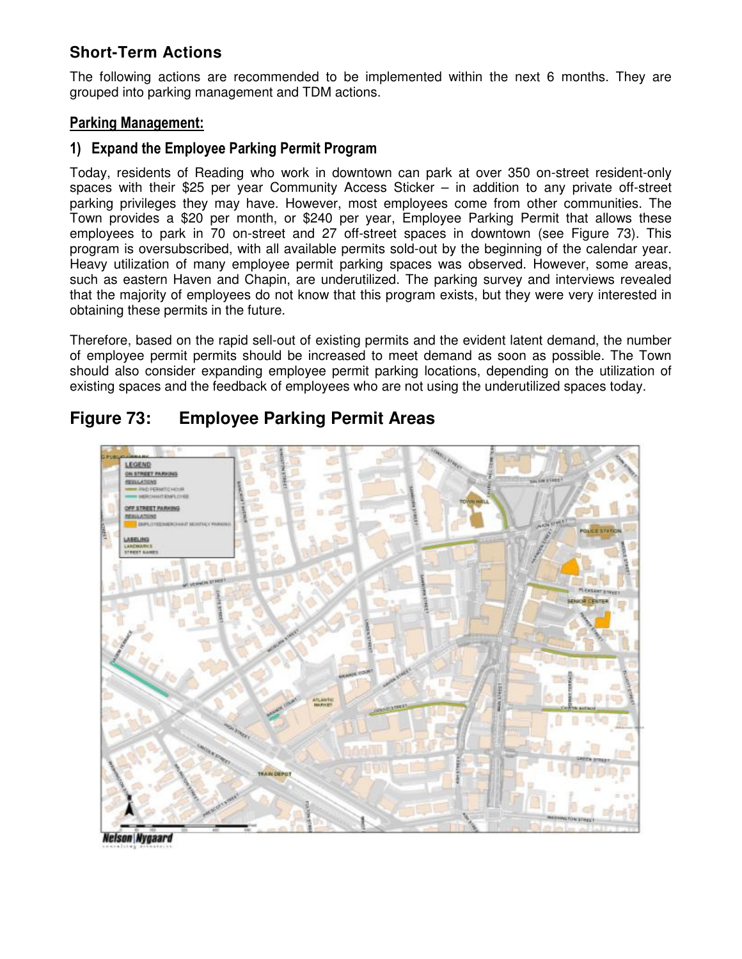# **Short-Term Actions**

The following actions are recommended to be implemented within the next 6 months. They are grouped into parking management and TDM actions.

# Parking Management:

### 1) Expand the Employee Parking Permit Program

Today, residents of Reading who work in downtown can park at over 350 on-street resident-only spaces with their \$25 per year Community Access Sticker – in addition to any private off-street parking privileges they may have. However, most employees come from other communities. The Town provides a \$20 per month, or \$240 per year, Employee Parking Permit that allows these employees to park in 70 on-street and 27 off-street spaces in downtown (see Figure 73). This program is oversubscribed, with all available permits sold-out by the beginning of the calendar year. Heavy utilization of many employee permit parking spaces was observed. However, some areas, such as eastern Haven and Chapin, are underutilized. The parking survey and interviews revealed that the majority of employees do not know that this program exists, but they were very interested in obtaining these permits in the future.

Therefore, based on the rapid sell-out of existing permits and the evident latent demand, the number of employee permit permits should be increased to meet demand as soon as possible. The Town should also consider expanding employee permit parking locations, depending on the utilization of existing spaces and the feedback of employees who are not using the underutilized spaces today.



# **Figure 73: Employee Parking Permit Areas**

**Nelson Nygaard**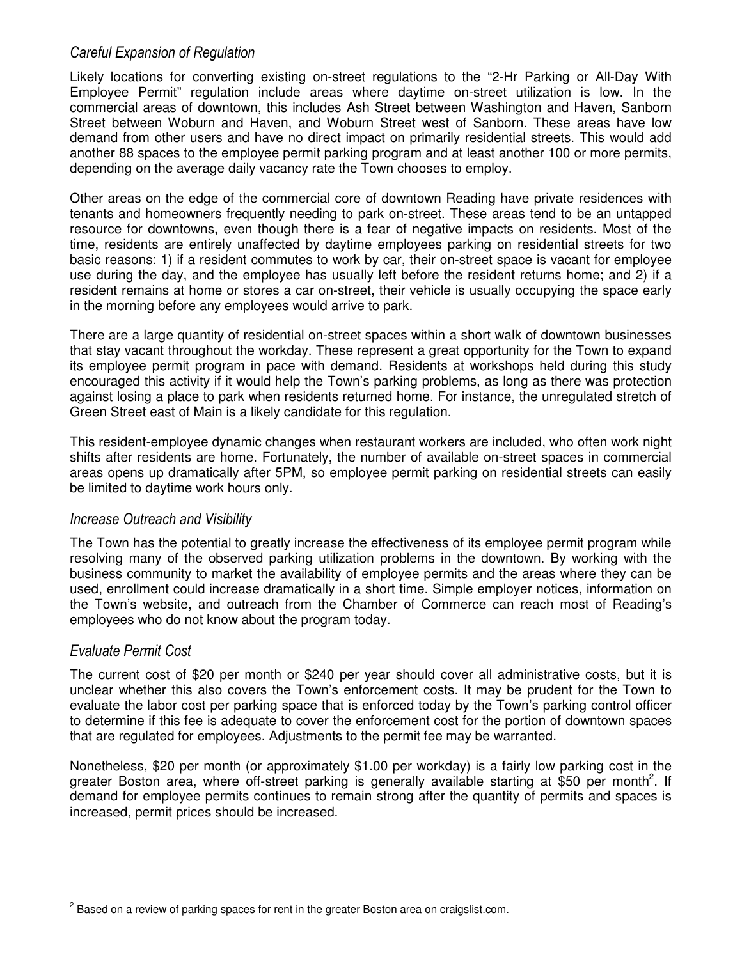# Careful Expansion of Regulation

Likely locations for converting existing on-street regulations to the "2-Hr Parking or All-Day With Employee Permit" regulation include areas where daytime on-street utilization is low. In the commercial areas of downtown, this includes Ash Street between Washington and Haven, Sanborn Street between Woburn and Haven, and Woburn Street west of Sanborn. These areas have low demand from other users and have no direct impact on primarily residential streets. This would add another 88 spaces to the employee permit parking program and at least another 100 or more permits, depending on the average daily vacancy rate the Town chooses to employ.

Other areas on the edge of the commercial core of downtown Reading have private residences with tenants and homeowners frequently needing to park on-street. These areas tend to be an untapped resource for downtowns, even though there is a fear of negative impacts on residents. Most of the time, residents are entirely unaffected by daytime employees parking on residential streets for two basic reasons: 1) if a resident commutes to work by car, their on-street space is vacant for employee use during the day, and the employee has usually left before the resident returns home; and 2) if a resident remains at home or stores a car on-street, their vehicle is usually occupying the space early in the morning before any employees would arrive to park.

There are a large quantity of residential on-street spaces within a short walk of downtown businesses that stay vacant throughout the workday. These represent a great opportunity for the Town to expand its employee permit program in pace with demand. Residents at workshops held during this study encouraged this activity if it would help the Town's parking problems, as long as there was protection against losing a place to park when residents returned home. For instance, the unregulated stretch of Green Street east of Main is a likely candidate for this regulation.

This resident-employee dynamic changes when restaurant workers are included, who often work night shifts after residents are home. Fortunately, the number of available on-street spaces in commercial areas opens up dramatically after 5PM, so employee permit parking on residential streets can easily be limited to daytime work hours only.

#### Increase Outreach and Visibility

The Town has the potential to greatly increase the effectiveness of its employee permit program while resolving many of the observed parking utilization problems in the downtown. By working with the business community to market the availability of employee permits and the areas where they can be used, enrollment could increase dramatically in a short time. Simple employer notices, information on the Town's website, and outreach from the Chamber of Commerce can reach most of Reading's employees who do not know about the program today.

#### Evaluate Permit Cost

 $\overline{a}$ 

The current cost of \$20 per month or \$240 per year should cover all administrative costs, but it is unclear whether this also covers the Town's enforcement costs. It may be prudent for the Town to evaluate the labor cost per parking space that is enforced today by the Town's parking control officer to determine if this fee is adequate to cover the enforcement cost for the portion of downtown spaces that are regulated for employees. Adjustments to the permit fee may be warranted.

Nonetheless, \$20 per month (or approximately \$1.00 per workday) is a fairly low parking cost in the greater Boston area, where off-street parking is generally available starting at \$50 per month<sup>2</sup>. If demand for employee permits continues to remain strong after the quantity of permits and spaces is increased, permit prices should be increased.

 $^2$  Based on a review of parking spaces for rent in the greater Boston area on craigslist.com.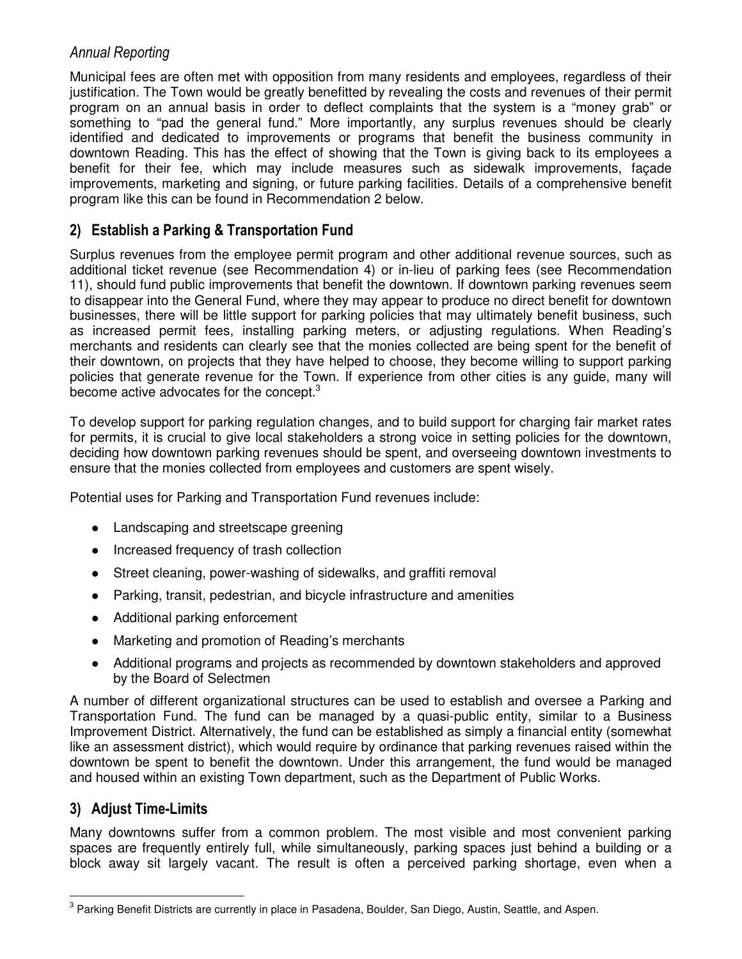# Annual Reporting

Municipal fees are often met with opposition from many residents and employees, regardless of their justification. The Town would be greatly benefitted by revealing the costs and revenues of their permit program on an annual basis in order to deflect complaints that the system is a "money grab" or something to "pad the general fund." More importantly, any surplus revenues should be clearly identified and dedicated to improvements or programs that benefit the business community in downtown Reading. This has the effect of showing that the Town is giving back to its employees a benefit for their fee, which may include measures such as sidewalk improvements, façade improvements, marketing and signing, or future parking facilities. Details of a comprehensive benefit program like this can be found in Recommendation 2 below.

# 2) Establish a Parking & Transportation Fund

Surplus revenues from the employee permit program and other additional revenue sources, such as additional ticket revenue (see Recommendation 4) or in-lieu of parking fees (see Recommendation 11), should fund public improvements that benefit the downtown. If downtown parking revenues seem to disappear into the General Fund, where they may appear to produce no direct benefit for downtown businesses, there will be little support for parking policies that may ultimately benefit business, such as increased permit fees, installing parking meters, or adjusting regulations. When Reading's merchants and residents can clearly see that the monies collected are being spent for the benefit of their downtown, on projects that they have helped to choose, they become willing to support parking policies that generate revenue for the Town. If experience from other cities is any guide, many will become active advocates for the concept.<sup>3</sup>

To develop support for parking regulation changes, and to build support for charging fair market rates for permits, it is crucial to give local stakeholders a strong voice in setting policies for the downtown, deciding how downtown parking revenues should be spent, and overseeing downtown investments to ensure that the monies collected from employees and customers are spent wisely.

Potential uses for Parking and Transportation Fund revenues include:

- Landscaping and streetscape greening
- Increased frequency of trash collection
- Street cleaning, power-washing of sidewalks, and graffiti removal
- Parking, transit, pedestrian, and bicycle infrastructure and amenities
- Additional parking enforcement
- Marketing and promotion of Reading's merchants
- Additional programs and projects as recommended by downtown stakeholders and approved by the Board of Selectmen

A number of different organizational structures can be used to establish and oversee a Parking and Transportation Fund. The fund can be managed by a quasi-public entity, similar to a Business Improvement District. Alternatively, the fund can be established as simply a financial entity (somewhat like an assessment district), which would require by ordinance that parking revenues raised within the downtown be spent to benefit the downtown. Under this arrangement, the fund would be managed and housed within an existing Town department, such as the Department of Public Works.

# 3) Adjust Time-Limits

 $\overline{a}$ 

Many downtowns suffer from a common problem. The most visible and most convenient parking spaces are frequently entirely full, while simultaneously, parking spaces just behind a building or a block away sit largely vacant. The result is often a perceived parking shortage, even when a

<sup>&</sup>lt;sup>3</sup> Parking Benefit Districts are currently in place in Pasadena, Boulder, San Diego, Austin, Seattle, and Aspen.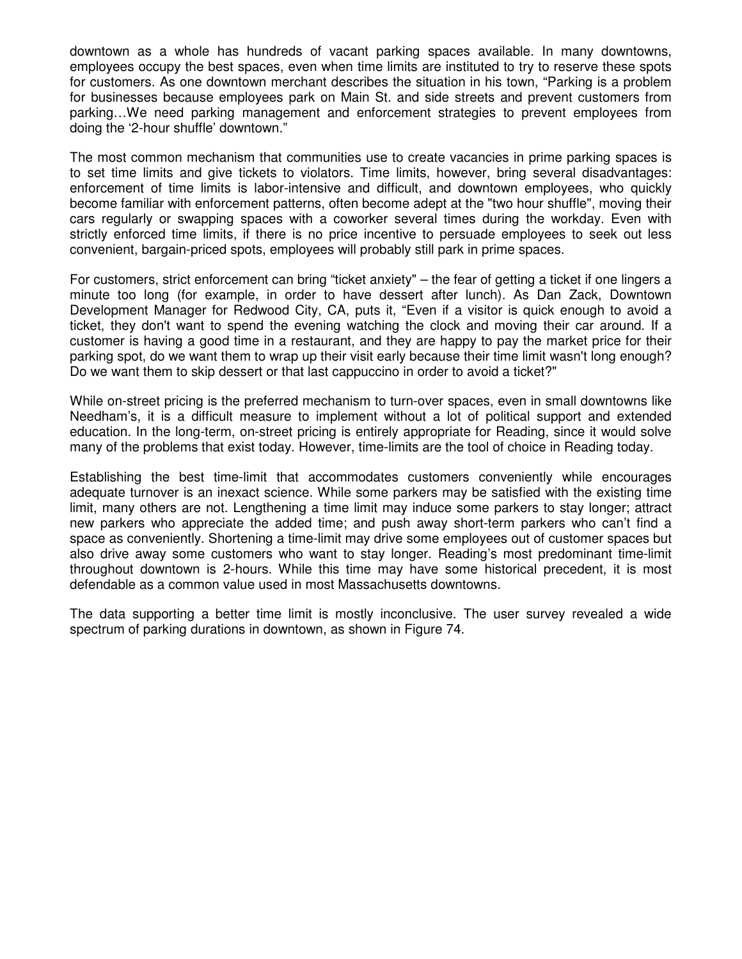downtown as a whole has hundreds of vacant parking spaces available. In many downtowns, employees occupy the best spaces, even when time limits are instituted to try to reserve these spots for customers. As one downtown merchant describes the situation in his town, "Parking is a problem for businesses because employees park on Main St. and side streets and prevent customers from parking…We need parking management and enforcement strategies to prevent employees from doing the '2-hour shuffle' downtown."

The most common mechanism that communities use to create vacancies in prime parking spaces is to set time limits and give tickets to violators. Time limits, however, bring several disadvantages: enforcement of time limits is labor-intensive and difficult, and downtown employees, who quickly become familiar with enforcement patterns, often become adept at the "two hour shuffle", moving their cars regularly or swapping spaces with a coworker several times during the workday. Even with strictly enforced time limits, if there is no price incentive to persuade employees to seek out less convenient, bargain-priced spots, employees will probably still park in prime spaces.

For customers, strict enforcement can bring "ticket anxiety" – the fear of getting a ticket if one lingers a minute too long (for example, in order to have dessert after lunch). As Dan Zack, Downtown Development Manager for Redwood City, CA, puts it, "Even if a visitor is quick enough to avoid a ticket, they don't want to spend the evening watching the clock and moving their car around. If a customer is having a good time in a restaurant, and they are happy to pay the market price for their parking spot, do we want them to wrap up their visit early because their time limit wasn't long enough? Do we want them to skip dessert or that last cappuccino in order to avoid a ticket?"

While on-street pricing is the preferred mechanism to turn-over spaces, even in small downtowns like Needham's, it is a difficult measure to implement without a lot of political support and extended education. In the long-term, on-street pricing is entirely appropriate for Reading, since it would solve many of the problems that exist today. However, time-limits are the tool of choice in Reading today.

Establishing the best time-limit that accommodates customers conveniently while encourages adequate turnover is an inexact science. While some parkers may be satisfied with the existing time limit, many others are not. Lengthening a time limit may induce some parkers to stay longer; attract new parkers who appreciate the added time; and push away short-term parkers who can't find a space as conveniently. Shortening a time-limit may drive some employees out of customer spaces but also drive away some customers who want to stay longer. Reading's most predominant time-limit throughout downtown is 2-hours. While this time may have some historical precedent, it is most defendable as a common value used in most Massachusetts downtowns.

The data supporting a better time limit is mostly inconclusive. The user survey revealed a wide spectrum of parking durations in downtown, as shown in Figure 74.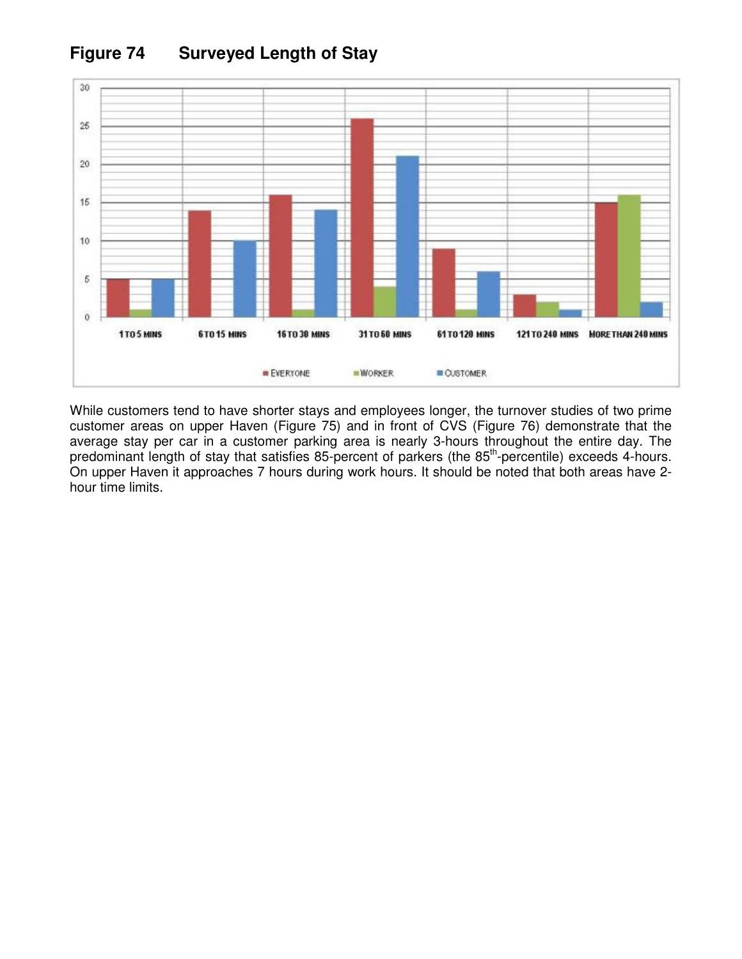

# **Figure 74 Surveyed Length of Stay**

While customers tend to have shorter stays and employees longer, the turnover studies of two prime customer areas on upper Haven (Figure 75) and in front of CVS (Figure 76) demonstrate that the average stay per car in a customer parking area is nearly 3-hours throughout the entire day. The predominant length of stay that satisfies 85-percent of parkers (the 85<sup>th</sup>-percentile) exceeds 4-hours. On upper Haven it approaches 7 hours during work hours. It should be noted that both areas have 2 hour time limits.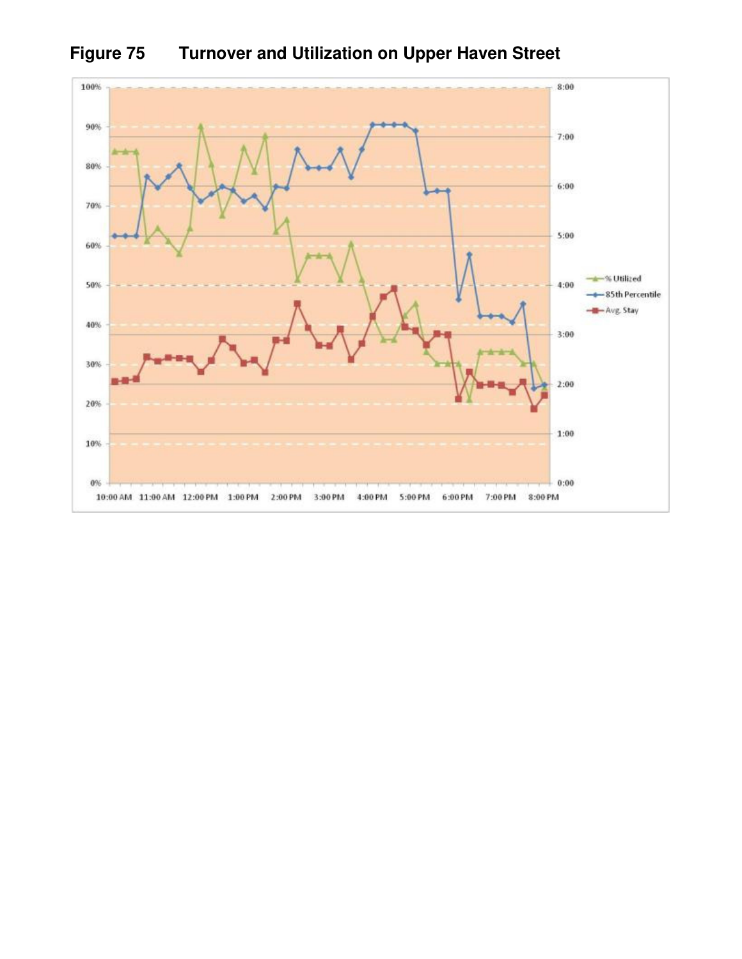

**Figure 75 Turnover and Utilization on Upper Haven Street**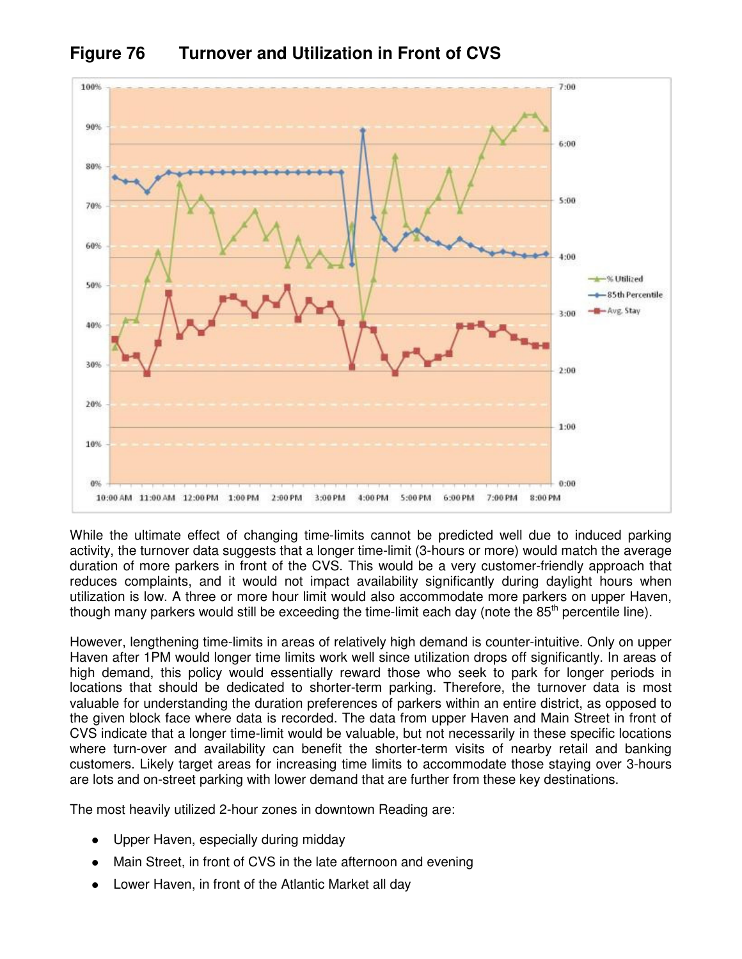

**Figure 76 Turnover and Utilization in Front of CVS** 

While the ultimate effect of changing time-limits cannot be predicted well due to induced parking activity, the turnover data suggests that a longer time-limit (3-hours or more) would match the average duration of more parkers in front of the CVS. This would be a very customer-friendly approach that reduces complaints, and it would not impact availability significantly during daylight hours when utilization is low. A three or more hour limit would also accommodate more parkers on upper Haven, though many parkers would still be exceeding the time-limit each day (note the  $85<sup>th</sup>$  percentile line).

However, lengthening time-limits in areas of relatively high demand is counter-intuitive. Only on upper Haven after 1PM would longer time limits work well since utilization drops off significantly. In areas of high demand, this policy would essentially reward those who seek to park for longer periods in locations that should be dedicated to shorter-term parking. Therefore, the turnover data is most valuable for understanding the duration preferences of parkers within an entire district, as opposed to the given block face where data is recorded. The data from upper Haven and Main Street in front of CVS indicate that a longer time-limit would be valuable, but not necessarily in these specific locations where turn-over and availability can benefit the shorter-term visits of nearby retail and banking customers. Likely target areas for increasing time limits to accommodate those staying over 3-hours are lots and on-street parking with lower demand that are further from these key destinations.

The most heavily utilized 2-hour zones in downtown Reading are:

- Upper Haven, especially during midday
- Main Street, in front of CVS in the late afternoon and evening
- Lower Haven, in front of the Atlantic Market all day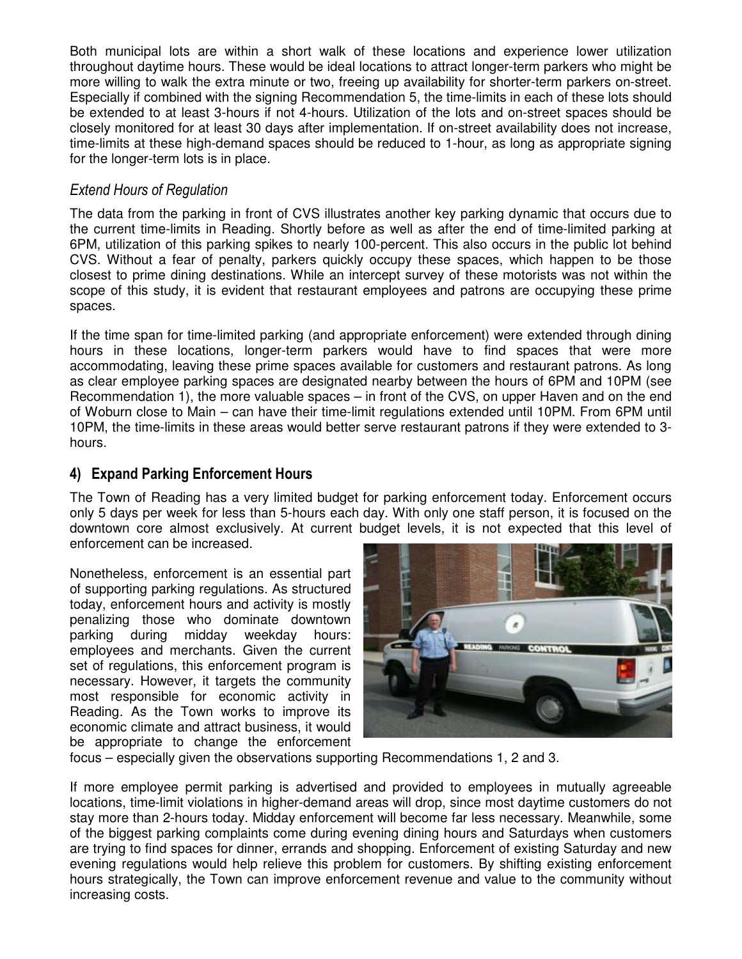Both municipal lots are within a short walk of these locations and experience lower utilization throughout daytime hours. These would be ideal locations to attract longer-term parkers who might be more willing to walk the extra minute or two, freeing up availability for shorter-term parkers on-street. Especially if combined with the signing Recommendation 5, the time-limits in each of these lots should be extended to at least 3-hours if not 4-hours. Utilization of the lots and on-street spaces should be closely monitored for at least 30 days after implementation. If on-street availability does not increase, time-limits at these high-demand spaces should be reduced to 1-hour, as long as appropriate signing for the longer-term lots is in place.

### Extend Hours of Regulation

The data from the parking in front of CVS illustrates another key parking dynamic that occurs due to the current time-limits in Reading. Shortly before as well as after the end of time-limited parking at 6PM, utilization of this parking spikes to nearly 100-percent. This also occurs in the public lot behind CVS. Without a fear of penalty, parkers quickly occupy these spaces, which happen to be those closest to prime dining destinations. While an intercept survey of these motorists was not within the scope of this study, it is evident that restaurant employees and patrons are occupying these prime spaces.

If the time span for time-limited parking (and appropriate enforcement) were extended through dining hours in these locations, longer-term parkers would have to find spaces that were more accommodating, leaving these prime spaces available for customers and restaurant patrons. As long as clear employee parking spaces are designated nearby between the hours of 6PM and 10PM (see Recommendation 1), the more valuable spaces – in front of the CVS, on upper Haven and on the end of Woburn close to Main – can have their time-limit regulations extended until 10PM. From 6PM until 10PM, the time-limits in these areas would better serve restaurant patrons if they were extended to 3 hours.

# 4) Expand Parking Enforcement Hours

The Town of Reading has a very limited budget for parking enforcement today. Enforcement occurs only 5 days per week for less than 5-hours each day. With only one staff person, it is focused on the downtown core almost exclusively. At current budget levels, it is not expected that this level of enforcement can be increased.

Nonetheless, enforcement is an essential part of supporting parking regulations. As structured today, enforcement hours and activity is mostly penalizing those who dominate downtown parking during midday weekday hours: employees and merchants. Given the current set of regulations, this enforcement program is necessary. However, it targets the community most responsible for economic activity in Reading. As the Town works to improve its economic climate and attract business, it would be appropriate to change the enforcement



focus – especially given the observations supporting Recommendations 1, 2 and 3.

If more employee permit parking is advertised and provided to employees in mutually agreeable locations, time-limit violations in higher-demand areas will drop, since most daytime customers do not stay more than 2-hours today. Midday enforcement will become far less necessary. Meanwhile, some of the biggest parking complaints come during evening dining hours and Saturdays when customers are trying to find spaces for dinner, errands and shopping. Enforcement of existing Saturday and new evening regulations would help relieve this problem for customers. By shifting existing enforcement hours strategically, the Town can improve enforcement revenue and value to the community without increasing costs.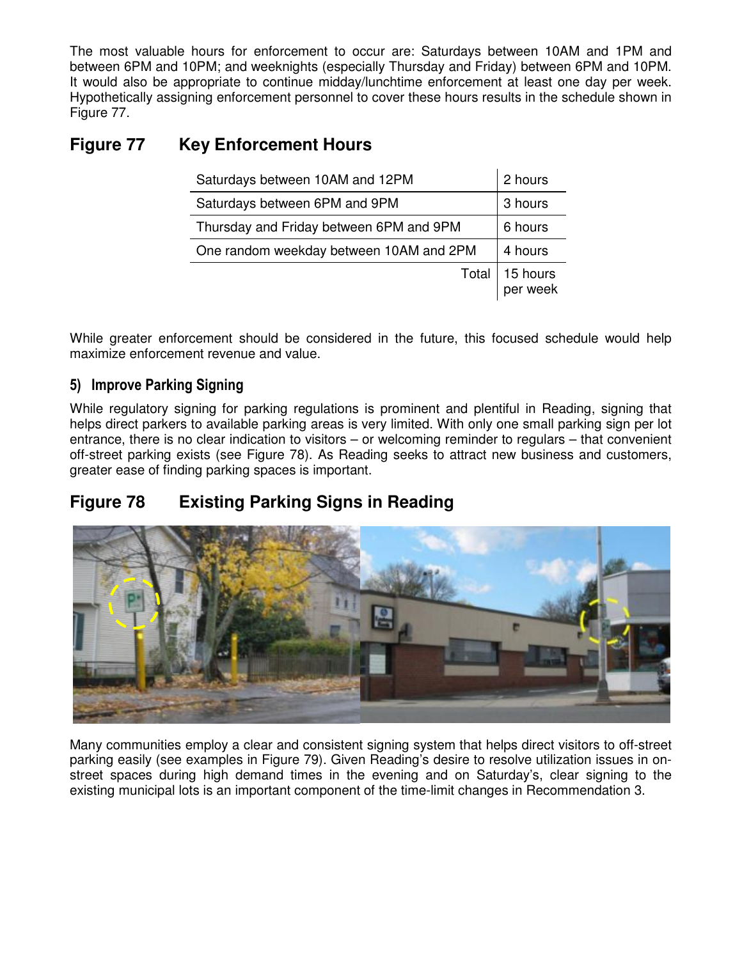The most valuable hours for enforcement to occur are: Saturdays between 10AM and 1PM and between 6PM and 10PM; and weeknights (especially Thursday and Friday) between 6PM and 10PM. It would also be appropriate to continue midday/lunchtime enforcement at least one day per week. Hypothetically assigning enforcement personnel to cover these hours results in the schedule shown in Figure 77.

# **Figure 77 Key Enforcement Hours**

| Saturdays between 10AM and 12PM         | 2 hours              |
|-----------------------------------------|----------------------|
| Saturdays between 6PM and 9PM           | 3 hours              |
| Thursday and Friday between 6PM and 9PM | 6 hours              |
| One random weekday between 10AM and 2PM | 4 hours              |
| Total                                   | 15 hours<br>per week |

While greater enforcement should be considered in the future, this focused schedule would help maximize enforcement revenue and value.

# 5) Improve Parking Signing

While regulatory signing for parking regulations is prominent and plentiful in Reading, signing that helps direct parkers to available parking areas is very limited. With only one small parking sign per lot entrance, there is no clear indication to visitors – or welcoming reminder to regulars – that convenient off-street parking exists (see Figure 78). As Reading seeks to attract new business and customers, greater ease of finding parking spaces is important.

# **Figure 78 Existing Parking Signs in Reading**



Many communities employ a clear and consistent signing system that helps direct visitors to off-street parking easily (see examples in Figure 79). Given Reading's desire to resolve utilization issues in onstreet spaces during high demand times in the evening and on Saturday's, clear signing to the existing municipal lots is an important component of the time-limit changes in Recommendation 3.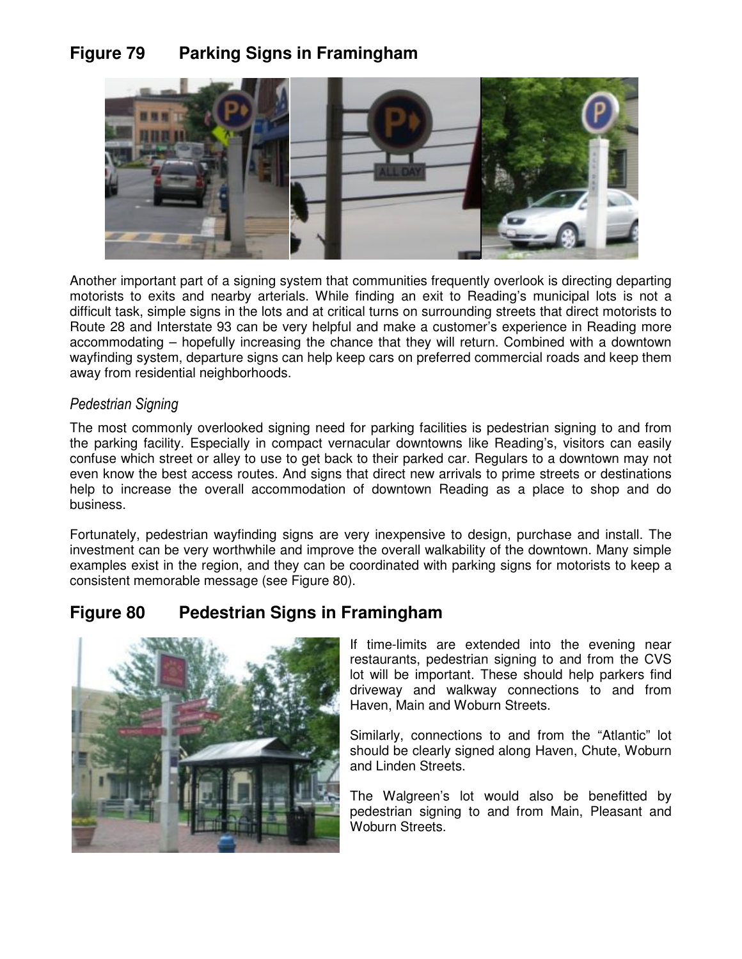# **Figure 79 Parking Signs in Framingham**



Another important part of a signing system that communities frequently overlook is directing departing motorists to exits and nearby arterials. While finding an exit to Reading's municipal lots is not a difficult task, simple signs in the lots and at critical turns on surrounding streets that direct motorists to Route 28 and Interstate 93 can be very helpful and make a customer's experience in Reading more accommodating – hopefully increasing the chance that they will return. Combined with a downtown wayfinding system, departure signs can help keep cars on preferred commercial roads and keep them away from residential neighborhoods.

#### Pedestrian Signing

The most commonly overlooked signing need for parking facilities is pedestrian signing to and from the parking facility. Especially in compact vernacular downtowns like Reading's, visitors can easily confuse which street or alley to use to get back to their parked car. Regulars to a downtown may not even know the best access routes. And signs that direct new arrivals to prime streets or destinations help to increase the overall accommodation of downtown Reading as a place to shop and do business.

Fortunately, pedestrian wayfinding signs are very inexpensive to design, purchase and install. The investment can be very worthwhile and improve the overall walkability of the downtown. Many simple examples exist in the region, and they can be coordinated with parking signs for motorists to keep a consistent memorable message (see Figure 80).

# **Figure 80 Pedestrian Signs in Framingham**



If time-limits are extended into the evening near restaurants, pedestrian signing to and from the CVS lot will be important. These should help parkers find driveway and walkway connections to and from Haven, Main and Woburn Streets.

Similarly, connections to and from the "Atlantic" lot should be clearly signed along Haven, Chute, Woburn and Linden Streets.

The Walgreen's lot would also be benefitted by pedestrian signing to and from Main, Pleasant and Woburn Streets.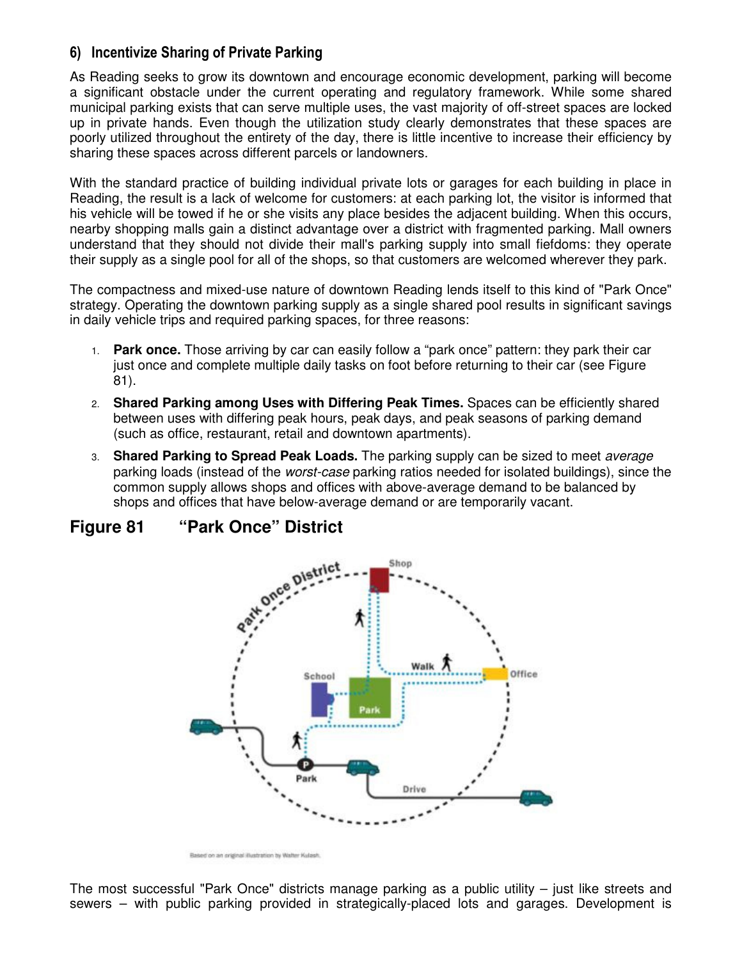# 6) Incentivize Sharing of Private Parking

As Reading seeks to grow its downtown and encourage economic development, parking will become a significant obstacle under the current operating and regulatory framework. While some shared municipal parking exists that can serve multiple uses, the vast majority of off-street spaces are locked up in private hands. Even though the utilization study clearly demonstrates that these spaces are poorly utilized throughout the entirety of the day, there is little incentive to increase their efficiency by sharing these spaces across different parcels or landowners.

With the standard practice of building individual private lots or garages for each building in place in Reading, the result is a lack of welcome for customers: at each parking lot, the visitor is informed that his vehicle will be towed if he or she visits any place besides the adjacent building. When this occurs, nearby shopping malls gain a distinct advantage over a district with fragmented parking. Mall owners understand that they should not divide their mall's parking supply into small fiefdoms: they operate their supply as a single pool for all of the shops, so that customers are welcomed wherever they park.

The compactness and mixed-use nature of downtown Reading lends itself to this kind of "Park Once" strategy. Operating the downtown parking supply as a single shared pool results in significant savings in daily vehicle trips and required parking spaces, for three reasons:

- 1. **Park once.** Those arriving by car can easily follow a "park once" pattern: they park their car just once and complete multiple daily tasks on foot before returning to their car (see Figure 81).
- 2. **Shared Parking among Uses with Differing Peak Times.** Spaces can be efficiently shared between uses with differing peak hours, peak days, and peak seasons of parking demand (such as office, restaurant, retail and downtown apartments).
- 3. **Shared Parking to Spread Peak Loads.** The parking supply can be sized to meet average parking loads (instead of the *worst-case* parking ratios needed for isolated buildings), since the common supply allows shops and offices with above-average demand to be balanced by shops and offices that have below-average demand or are temporarily vacant.



# **Figure 81 "Park Once" District**

The most successful "Park Once" districts manage parking as a public utility – just like streets and sewers – with public parking provided in strategically-placed lots and garages. Development is

Based on an original illustration by Walter Kulash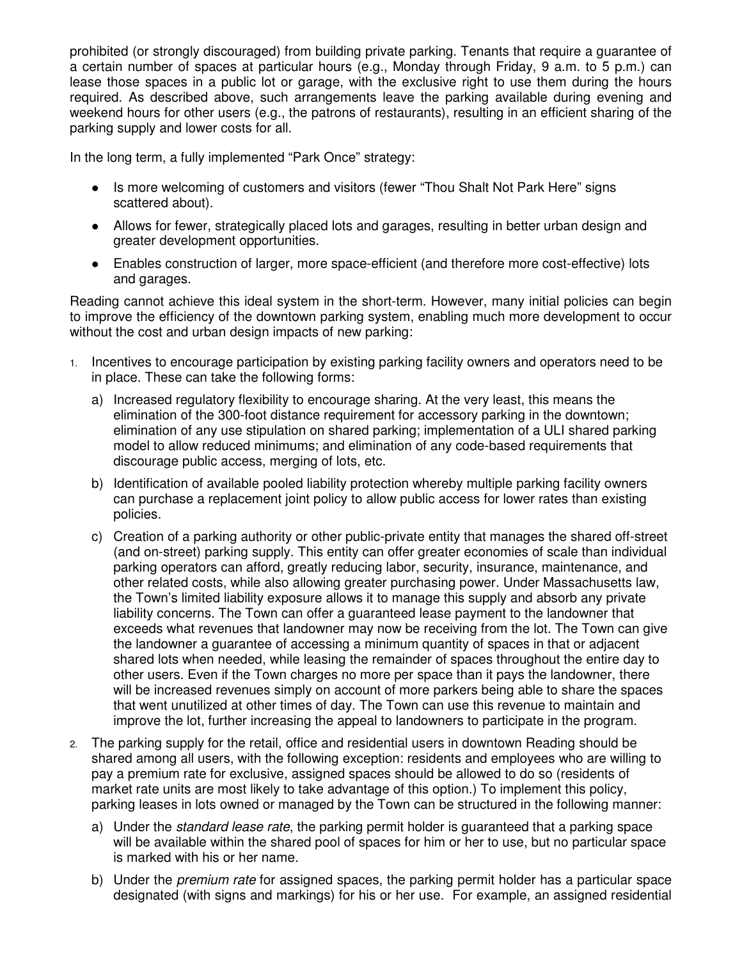prohibited (or strongly discouraged) from building private parking. Tenants that require a guarantee of a certain number of spaces at particular hours (e.g., Monday through Friday, 9 a.m. to 5 p.m.) can lease those spaces in a public lot or garage, with the exclusive right to use them during the hours required. As described above, such arrangements leave the parking available during evening and weekend hours for other users (e.g., the patrons of restaurants), resulting in an efficient sharing of the parking supply and lower costs for all.

In the long term, a fully implemented "Park Once" strategy:

- Is more welcoming of customers and visitors (fewer "Thou Shalt Not Park Here" signs scattered about).
- Allows for fewer, strategically placed lots and garages, resulting in better urban design and greater development opportunities.
- Enables construction of larger, more space-efficient (and therefore more cost-effective) lots and garages.

Reading cannot achieve this ideal system in the short-term. However, many initial policies can begin to improve the efficiency of the downtown parking system, enabling much more development to occur without the cost and urban design impacts of new parking:

- 1. Incentives to encourage participation by existing parking facility owners and operators need to be in place. These can take the following forms:
	- a) Increased regulatory flexibility to encourage sharing. At the very least, this means the elimination of the 300-foot distance requirement for accessory parking in the downtown; elimination of any use stipulation on shared parking; implementation of a ULI shared parking model to allow reduced minimums; and elimination of any code-based requirements that discourage public access, merging of lots, etc.
	- b) Identification of available pooled liability protection whereby multiple parking facility owners can purchase a replacement joint policy to allow public access for lower rates than existing policies.
	- c) Creation of a parking authority or other public-private entity that manages the shared off-street (and on-street) parking supply. This entity can offer greater economies of scale than individual parking operators can afford, greatly reducing labor, security, insurance, maintenance, and other related costs, while also allowing greater purchasing power. Under Massachusetts law, the Town's limited liability exposure allows it to manage this supply and absorb any private liability concerns. The Town can offer a guaranteed lease payment to the landowner that exceeds what revenues that landowner may now be receiving from the lot. The Town can give the landowner a guarantee of accessing a minimum quantity of spaces in that or adjacent shared lots when needed, while leasing the remainder of spaces throughout the entire day to other users. Even if the Town charges no more per space than it pays the landowner, there will be increased revenues simply on account of more parkers being able to share the spaces that went unutilized at other times of day. The Town can use this revenue to maintain and improve the lot, further increasing the appeal to landowners to participate in the program.
- 2. The parking supply for the retail, office and residential users in downtown Reading should be shared among all users, with the following exception: residents and employees who are willing to pay a premium rate for exclusive, assigned spaces should be allowed to do so (residents of market rate units are most likely to take advantage of this option.) To implement this policy, parking leases in lots owned or managed by the Town can be structured in the following manner:
	- a) Under the standard lease rate, the parking permit holder is quaranteed that a parking space will be available within the shared pool of spaces for him or her to use, but no particular space is marked with his or her name.
	- b) Under the *premium rate* for assigned spaces, the parking permit holder has a particular space designated (with signs and markings) for his or her use. For example, an assigned residential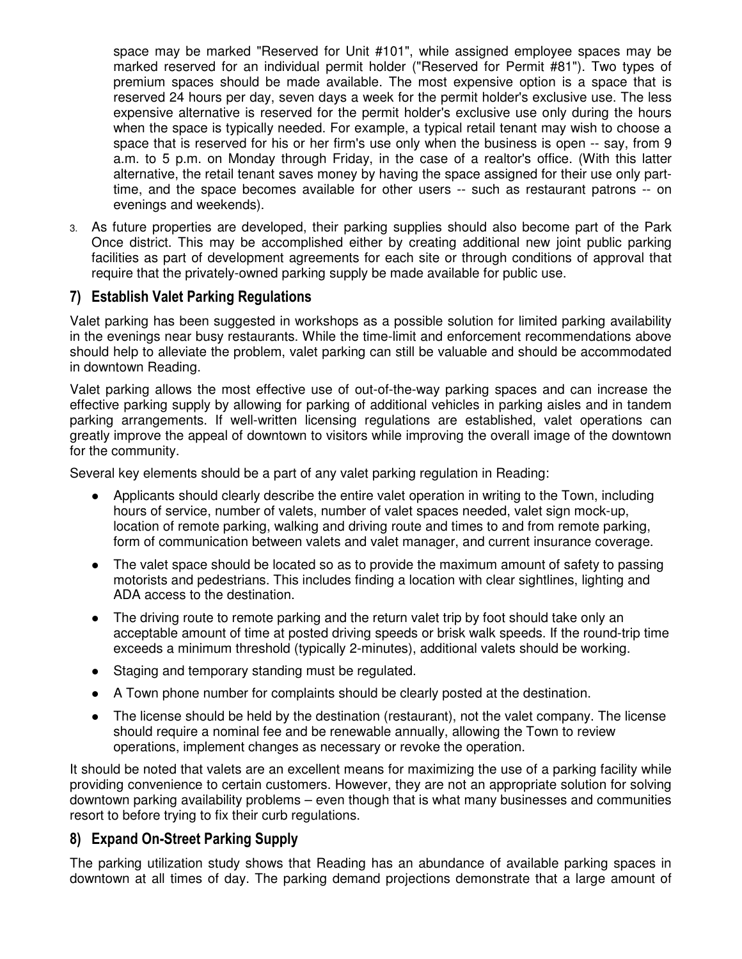space may be marked "Reserved for Unit #101", while assigned employee spaces may be marked reserved for an individual permit holder ("Reserved for Permit #81"). Two types of premium spaces should be made available. The most expensive option is a space that is reserved 24 hours per day, seven days a week for the permit holder's exclusive use. The less expensive alternative is reserved for the permit holder's exclusive use only during the hours when the space is typically needed. For example, a typical retail tenant may wish to choose a space that is reserved for his or her firm's use only when the business is open -- say, from 9 a.m. to 5 p.m. on Monday through Friday, in the case of a realtor's office. (With this latter alternative, the retail tenant saves money by having the space assigned for their use only parttime, and the space becomes available for other users -- such as restaurant patrons -- on evenings and weekends).

3. As future properties are developed, their parking supplies should also become part of the Park Once district. This may be accomplished either by creating additional new joint public parking facilities as part of development agreements for each site or through conditions of approval that require that the privately-owned parking supply be made available for public use.

### 7) Establish Valet Parking Regulations

Valet parking has been suggested in workshops as a possible solution for limited parking availability in the evenings near busy restaurants. While the time-limit and enforcement recommendations above should help to alleviate the problem, valet parking can still be valuable and should be accommodated in downtown Reading.

Valet parking allows the most effective use of out-of-the-way parking spaces and can increase the effective parking supply by allowing for parking of additional vehicles in parking aisles and in tandem parking arrangements. If well-written licensing regulations are established, valet operations can greatly improve the appeal of downtown to visitors while improving the overall image of the downtown for the community.

Several key elements should be a part of any valet parking regulation in Reading:

- Applicants should clearly describe the entire valet operation in writing to the Town, including hours of service, number of valets, number of valet spaces needed, valet sign mock-up, location of remote parking, walking and driving route and times to and from remote parking, form of communication between valets and valet manager, and current insurance coverage.
- The valet space should be located so as to provide the maximum amount of safety to passing motorists and pedestrians. This includes finding a location with clear sightlines, lighting and ADA access to the destination.
- The driving route to remote parking and the return valet trip by foot should take only an acceptable amount of time at posted driving speeds or brisk walk speeds. If the round-trip time exceeds a minimum threshold (typically 2-minutes), additional valets should be working.
- Staging and temporary standing must be regulated.
- A Town phone number for complaints should be clearly posted at the destination.
- The license should be held by the destination (restaurant), not the valet company. The license should require a nominal fee and be renewable annually, allowing the Town to review operations, implement changes as necessary or revoke the operation.

It should be noted that valets are an excellent means for maximizing the use of a parking facility while providing convenience to certain customers. However, they are not an appropriate solution for solving downtown parking availability problems – even though that is what many businesses and communities resort to before trying to fix their curb regulations.

# 8) Expand On-Street Parking Supply

The parking utilization study shows that Reading has an abundance of available parking spaces in downtown at all times of day. The parking demand projections demonstrate that a large amount of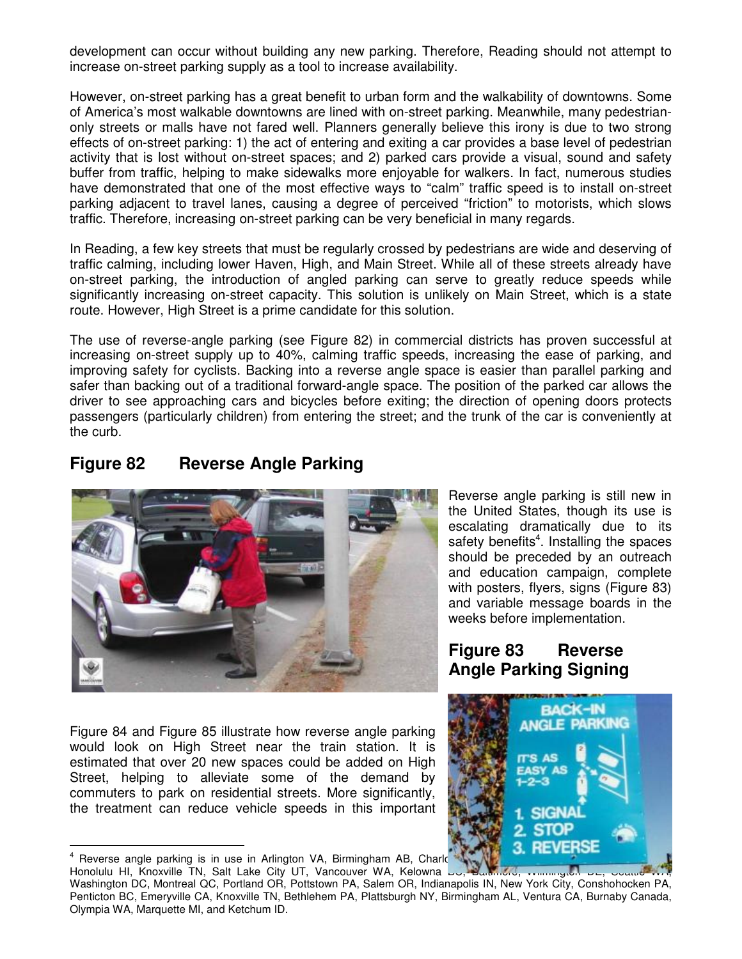development can occur without building any new parking. Therefore, Reading should not attempt to increase on-street parking supply as a tool to increase availability.

However, on-street parking has a great benefit to urban form and the walkability of downtowns. Some of America's most walkable downtowns are lined with on-street parking. Meanwhile, many pedestrianonly streets or malls have not fared well. Planners generally believe this irony is due to two strong effects of on-street parking: 1) the act of entering and exiting a car provides a base level of pedestrian activity that is lost without on-street spaces; and 2) parked cars provide a visual, sound and safety buffer from traffic, helping to make sidewalks more enjoyable for walkers. In fact, numerous studies have demonstrated that one of the most effective ways to "calm" traffic speed is to install on-street parking adjacent to travel lanes, causing a degree of perceived "friction" to motorists, which slows traffic. Therefore, increasing on-street parking can be very beneficial in many regards.

In Reading, a few key streets that must be regularly crossed by pedestrians are wide and deserving of traffic calming, including lower Haven, High, and Main Street. While all of these streets already have on-street parking, the introduction of angled parking can serve to greatly reduce speeds while significantly increasing on-street capacity. This solution is unlikely on Main Street, which is a state route. However, High Street is a prime candidate for this solution.

The use of reverse-angle parking (see Figure 82) in commercial districts has proven successful at increasing on-street supply up to 40%, calming traffic speeds, increasing the ease of parking, and improving safety for cyclists. Backing into a reverse angle space is easier than parallel parking and safer than backing out of a traditional forward-angle space. The position of the parked car allows the driver to see approaching cars and bicycles before exiting; the direction of opening doors protects passengers (particularly children) from entering the street; and the trunk of the car is conveniently at the curb.

# **Figure 82 Reverse Angle Parking**



Figure 84 and Figure 85 illustrate how reverse angle parking would look on High Street near the train station. It is estimated that over 20 new spaces could be added on High Street, helping to alleviate some of the demand by commuters to park on residential streets. More significantly, the treatment can reduce vehicle speeds in this important

<sup>4</sup> Reverse angle parking is in use in Arlington VA, Birmingham AB, Charlotte NC, Charlotte Ca, Chicago CA, Chicago CA, Chicago CA, Chicago CA, Chicago CA, Chicago CA, Chico CA, Chico CA, Chico CA, Chico CA, Chicago CA, Ch

 $\overline{a}$ 

Honolulu HI, Knoxville TN, Salt Lake City UT, Vancouver WA, Kelowna BU, Baltimore, Wilmington DE, Seat Washington DC, Montreal QC, Portland OR, Pottstown PA, Salem OR, Indianapolis IN, New York City, Conshohocken PA, Penticton BC, Emeryville CA, Knoxville TN, Bethlehem PA, Plattsburgh NY, Birmingham AL, Ventura CA, Burnaby Canada, Olympia WA, Marquette MI, and Ketchum ID.

Reverse angle parking is still new in the United States, though its use is escalating dramatically due to its safety benefits<sup>4</sup>. Installing the spaces should be preceded by an outreach and education campaign, complete with posters, flyers, signs (Figure 83) and variable message boards in the weeks before implementation.

# **Figure 83 Reverse Angle Parking Signing**

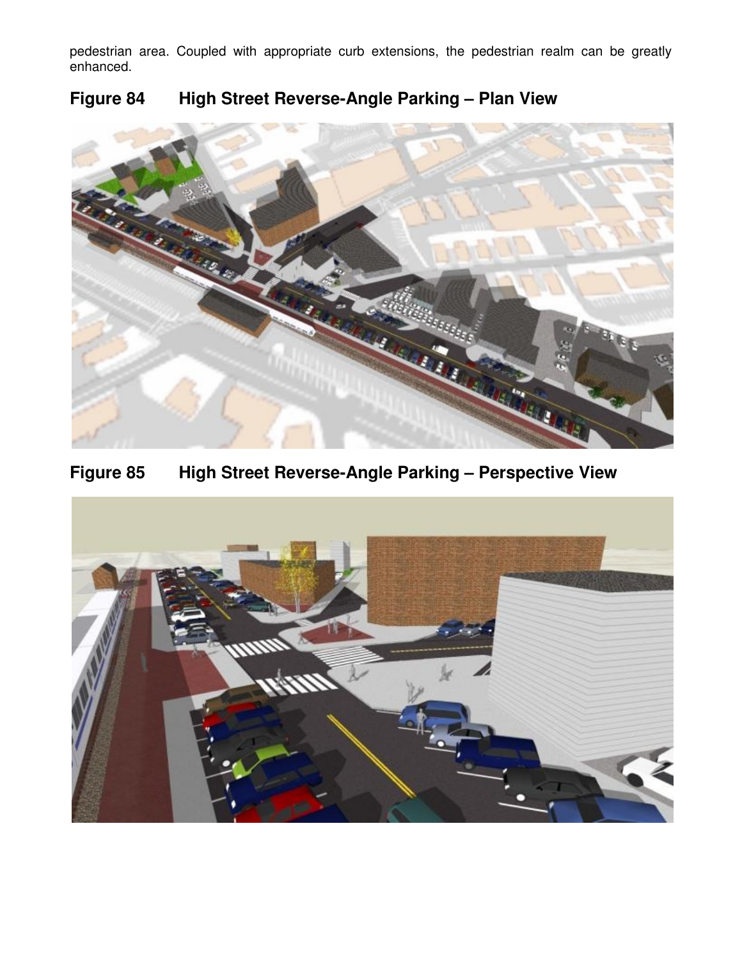pedestrian area. Coupled with appropriate curb extensions, the pedestrian realm can be greatly enhanced.



# **Figure 84 High Street Reverse-Angle Parking – Plan View**

**Figure 85 High Street Reverse-Angle Parking – Perspective View** 

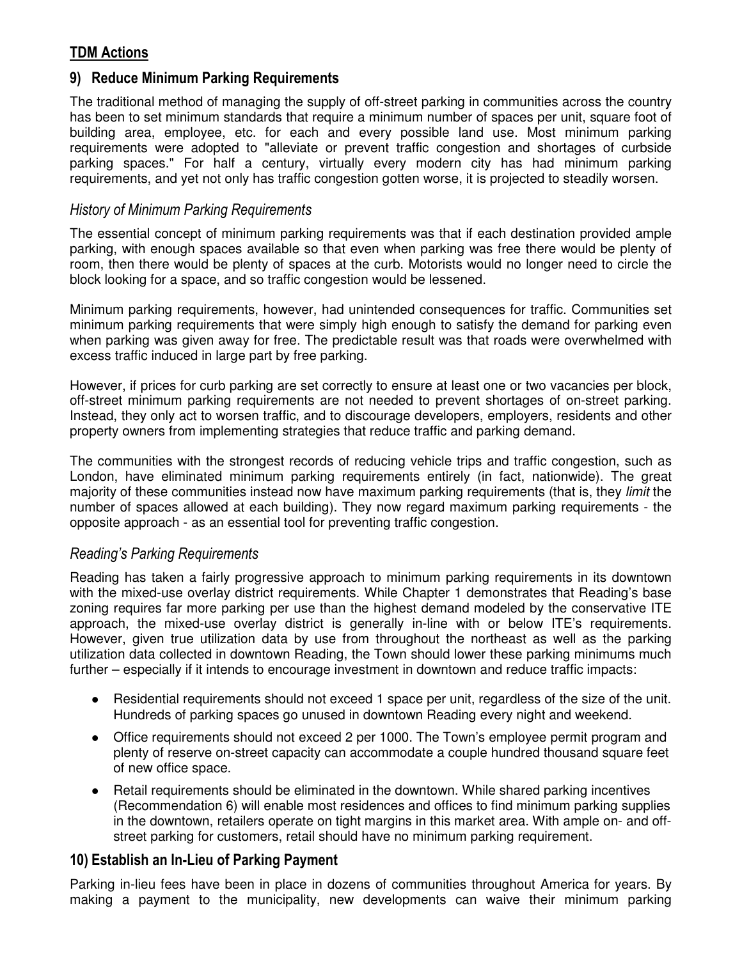# TDM Actions

### 9) Reduce Minimum Parking Requirements

The traditional method of managing the supply of off-street parking in communities across the country has been to set minimum standards that require a minimum number of spaces per unit, square foot of building area, employee, etc. for each and every possible land use. Most minimum parking requirements were adopted to "alleviate or prevent traffic congestion and shortages of curbside parking spaces." For half a century, virtually every modern city has had minimum parking requirements, and yet not only has traffic congestion gotten worse, it is projected to steadily worsen.

#### History of Minimum Parking Requirements

The essential concept of minimum parking requirements was that if each destination provided ample parking, with enough spaces available so that even when parking was free there would be plenty of room, then there would be plenty of spaces at the curb. Motorists would no longer need to circle the block looking for a space, and so traffic congestion would be lessened.

Minimum parking requirements, however, had unintended consequences for traffic. Communities set minimum parking requirements that were simply high enough to satisfy the demand for parking even when parking was given away for free. The predictable result was that roads were overwhelmed with excess traffic induced in large part by free parking.

However, if prices for curb parking are set correctly to ensure at least one or two vacancies per block, off-street minimum parking requirements are not needed to prevent shortages of on-street parking. Instead, they only act to worsen traffic, and to discourage developers, employers, residents and other property owners from implementing strategies that reduce traffic and parking demand.

The communities with the strongest records of reducing vehicle trips and traffic congestion, such as London, have eliminated minimum parking requirements entirely (in fact, nationwide). The great majority of these communities instead now have maximum parking requirements (that is, they limit the number of spaces allowed at each building). They now regard maximum parking requirements - the opposite approach - as an essential tool for preventing traffic congestion.

#### Reading's Parking Requirements

Reading has taken a fairly progressive approach to minimum parking requirements in its downtown with the mixed-use overlay district requirements. While Chapter 1 demonstrates that Reading's base zoning requires far more parking per use than the highest demand modeled by the conservative ITE approach, the mixed-use overlay district is generally in-line with or below ITE's requirements. However, given true utilization data by use from throughout the northeast as well as the parking utilization data collected in downtown Reading, the Town should lower these parking minimums much further – especially if it intends to encourage investment in downtown and reduce traffic impacts:

- Residential requirements should not exceed 1 space per unit, regardless of the size of the unit. Hundreds of parking spaces go unused in downtown Reading every night and weekend.
- Office requirements should not exceed 2 per 1000. The Town's employee permit program and plenty of reserve on-street capacity can accommodate a couple hundred thousand square feet of new office space.
- Retail requirements should be eliminated in the downtown. While shared parking incentives (Recommendation 6) will enable most residences and offices to find minimum parking supplies in the downtown, retailers operate on tight margins in this market area. With ample on- and offstreet parking for customers, retail should have no minimum parking requirement.

# 10) Establish an In-Lieu of Parking Payment

Parking in-lieu fees have been in place in dozens of communities throughout America for years. By making a payment to the municipality, new developments can waive their minimum parking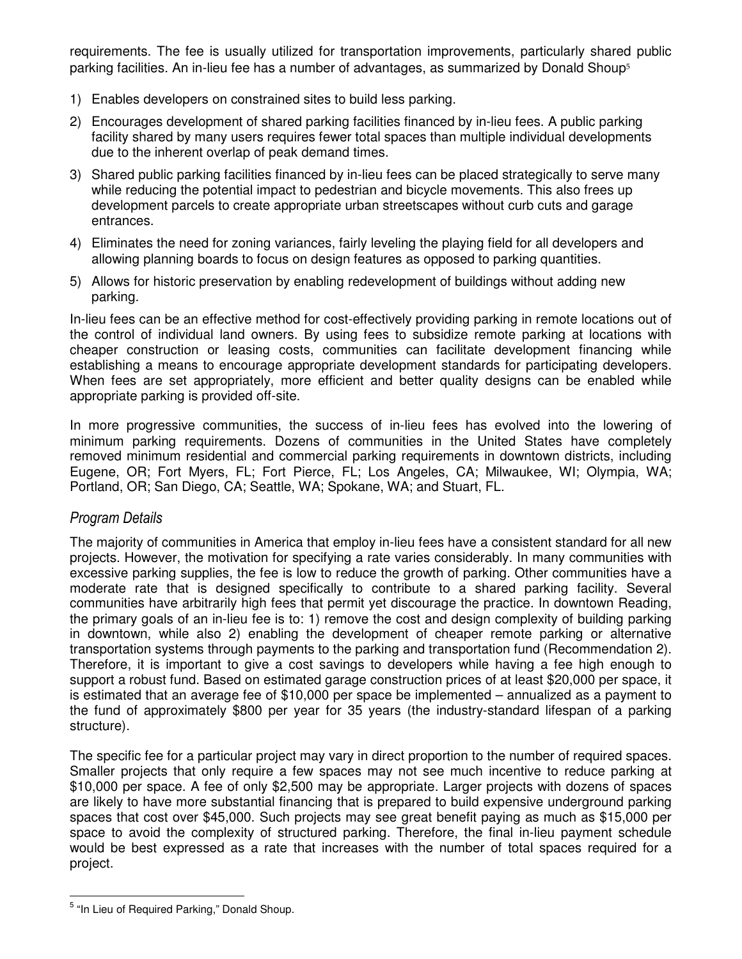requirements. The fee is usually utilized for transportation improvements, particularly shared public parking facilities. An in-lieu fee has a number of advantages, as summarized by Donald Shoup<sup>5</sup>

- 1) Enables developers on constrained sites to build less parking.
- 2) Encourages development of shared parking facilities financed by in-lieu fees. A public parking facility shared by many users requires fewer total spaces than multiple individual developments due to the inherent overlap of peak demand times.
- 3) Shared public parking facilities financed by in-lieu fees can be placed strategically to serve many while reducing the potential impact to pedestrian and bicycle movements. This also frees up development parcels to create appropriate urban streetscapes without curb cuts and garage entrances.
- 4) Eliminates the need for zoning variances, fairly leveling the playing field for all developers and allowing planning boards to focus on design features as opposed to parking quantities.
- 5) Allows for historic preservation by enabling redevelopment of buildings without adding new parking.

In-lieu fees can be an effective method for cost-effectively providing parking in remote locations out of the control of individual land owners. By using fees to subsidize remote parking at locations with cheaper construction or leasing costs, communities can facilitate development financing while establishing a means to encourage appropriate development standards for participating developers. When fees are set appropriately, more efficient and better quality designs can be enabled while appropriate parking is provided off-site.

In more progressive communities, the success of in-lieu fees has evolved into the lowering of minimum parking requirements. Dozens of communities in the United States have completely removed minimum residential and commercial parking requirements in downtown districts, including Eugene, OR; Fort Myers, FL; Fort Pierce, FL; Los Angeles, CA; Milwaukee, WI; Olympia, WA; Portland, OR; San Diego, CA; Seattle, WA; Spokane, WA; and Stuart, FL.

#### Program Details

The majority of communities in America that employ in-lieu fees have a consistent standard for all new projects. However, the motivation for specifying a rate varies considerably. In many communities with excessive parking supplies, the fee is low to reduce the growth of parking. Other communities have a moderate rate that is designed specifically to contribute to a shared parking facility. Several communities have arbitrarily high fees that permit yet discourage the practice. In downtown Reading, the primary goals of an in-lieu fee is to: 1) remove the cost and design complexity of building parking in downtown, while also 2) enabling the development of cheaper remote parking or alternative transportation systems through payments to the parking and transportation fund (Recommendation 2). Therefore, it is important to give a cost savings to developers while having a fee high enough to support a robust fund. Based on estimated garage construction prices of at least \$20,000 per space, it is estimated that an average fee of \$10,000 per space be implemented – annualized as a payment to the fund of approximately \$800 per year for 35 years (the industry-standard lifespan of a parking structure).

The specific fee for a particular project may vary in direct proportion to the number of required spaces. Smaller projects that only require a few spaces may not see much incentive to reduce parking at \$10,000 per space. A fee of only \$2,500 may be appropriate. Larger projects with dozens of spaces are likely to have more substantial financing that is prepared to build expensive underground parking spaces that cost over \$45,000. Such projects may see great benefit paying as much as \$15,000 per space to avoid the complexity of structured parking. Therefore, the final in-lieu payment schedule would be best expressed as a rate that increases with the number of total spaces required for a project.

 $\overline{a}$ 

<sup>&</sup>lt;sup>5</sup> "In Lieu of Required Parking," Donald Shoup.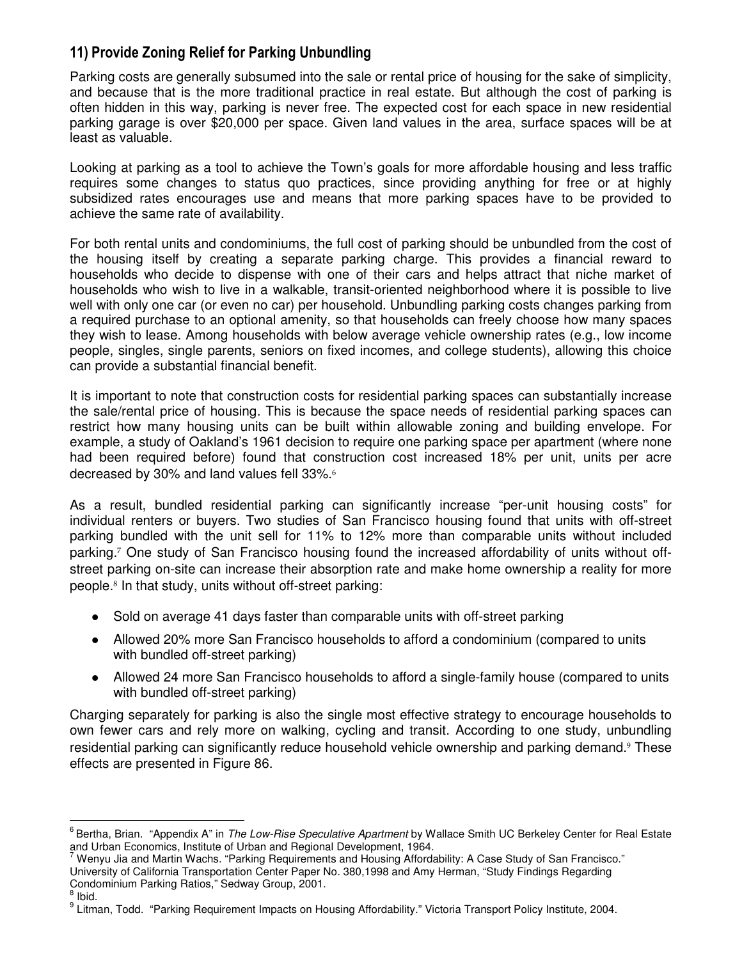# 11) Provide Zoning Relief for Parking Unbundling

Parking costs are generally subsumed into the sale or rental price of housing for the sake of simplicity, and because that is the more traditional practice in real estate. But although the cost of parking is often hidden in this way, parking is never free. The expected cost for each space in new residential parking garage is over \$20,000 per space. Given land values in the area, surface spaces will be at least as valuable.

Looking at parking as a tool to achieve the Town's goals for more affordable housing and less traffic requires some changes to status quo practices, since providing anything for free or at highly subsidized rates encourages use and means that more parking spaces have to be provided to achieve the same rate of availability.

For both rental units and condominiums, the full cost of parking should be unbundled from the cost of the housing itself by creating a separate parking charge. This provides a financial reward to households who decide to dispense with one of their cars and helps attract that niche market of households who wish to live in a walkable, transit-oriented neighborhood where it is possible to live well with only one car (or even no car) per household. Unbundling parking costs changes parking from a required purchase to an optional amenity, so that households can freely choose how many spaces they wish to lease. Among households with below average vehicle ownership rates (e.g., low income people, singles, single parents, seniors on fixed incomes, and college students), allowing this choice can provide a substantial financial benefit.

It is important to note that construction costs for residential parking spaces can substantially increase the sale/rental price of housing. This is because the space needs of residential parking spaces can restrict how many housing units can be built within allowable zoning and building envelope. For example, a study of Oakland's 1961 decision to require one parking space per apartment (where none had been required before) found that construction cost increased 18% per unit, units per acre decreased by 30% and land values fell 33%.<sup>6</sup>

As a result, bundled residential parking can significantly increase "per-unit housing costs" for individual renters or buyers. Two studies of San Francisco housing found that units with off-street parking bundled with the unit sell for 11% to 12% more than comparable units without included parking.<sup>7</sup> One study of San Francisco housing found the increased affordability of units without offstreet parking on-site can increase their absorption rate and make home ownership a reality for more people.<sup>8</sup> In that study, units without off-street parking:

- Sold on average 41 days faster than comparable units with off-street parking
- Allowed 20% more San Francisco households to afford a condominium (compared to units with bundled off-street parking)
- Allowed 24 more San Francisco households to afford a single-family house (compared to units with bundled off-street parking)

Charging separately for parking is also the single most effective strategy to encourage households to own fewer cars and rely more on walking, cycling and transit. According to one study, unbundling residential parking can significantly reduce household vehicle ownership and parking demand.<sup>9</sup> These effects are presented in Figure 86.

 $\overline{a}$ 

<sup>&</sup>lt;sup>6</sup> Bertha, Brian. "Appendix A" in The Low-Rise Speculative Apartment by Wallace Smith UC Berkeley Center for Real Estate and Urban Economics, Institute of Urban and Regional Development, 1964.

<sup>&</sup>lt;sup>7</sup> Wenyu Jia and Martin Wachs. "Parking Requirements and Housing Affordability: A Case Study of San Francisco." University of California Transportation Center Paper No. 380,1998 and Amy Herman, "Study Findings Regarding Condominium Parking Ratios," Sedway Group, 2001.

<sup>8</sup> Ibid.

<sup>&</sup>lt;sup>9</sup> Litman, Todd. "Parking Requirement Impacts on Housing Affordability." Victoria Transport Policy Institute, 2004.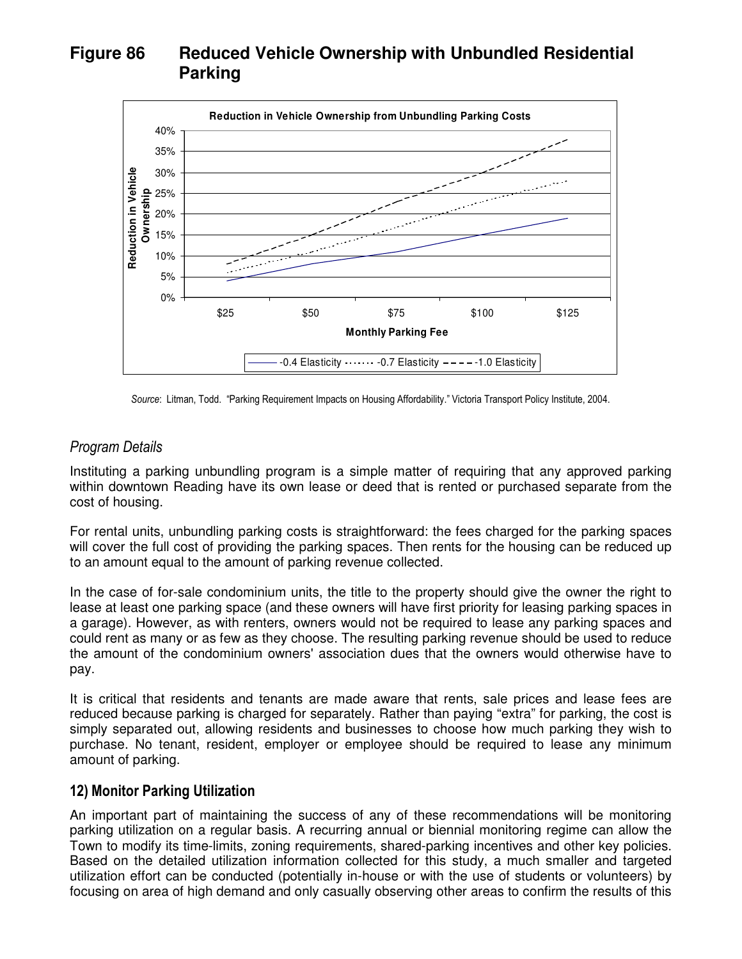# **Figure 86 Reduced Vehicle Ownership with Unbundled Residential Parking**



Source: Litman, Todd. "Parking Requirement Impacts on Housing Affordability." Victoria Transport Policy Institute, 2004.

#### Program Details

Instituting a parking unbundling program is a simple matter of requiring that any approved parking within downtown Reading have its own lease or deed that is rented or purchased separate from the cost of housing.

For rental units, unbundling parking costs is straightforward: the fees charged for the parking spaces will cover the full cost of providing the parking spaces. Then rents for the housing can be reduced up to an amount equal to the amount of parking revenue collected.

In the case of for-sale condominium units, the title to the property should give the owner the right to lease at least one parking space (and these owners will have first priority for leasing parking spaces in a garage). However, as with renters, owners would not be required to lease any parking spaces and could rent as many or as few as they choose. The resulting parking revenue should be used to reduce the amount of the condominium owners' association dues that the owners would otherwise have to pay.

It is critical that residents and tenants are made aware that rents, sale prices and lease fees are reduced because parking is charged for separately. Rather than paying "extra" for parking, the cost is simply separated out, allowing residents and businesses to choose how much parking they wish to purchase. No tenant, resident, employer or employee should be required to lease any minimum amount of parking.

#### 12) Monitor Parking Utilization

An important part of maintaining the success of any of these recommendations will be monitoring parking utilization on a regular basis. A recurring annual or biennial monitoring regime can allow the Town to modify its time-limits, zoning requirements, shared-parking incentives and other key policies. Based on the detailed utilization information collected for this study, a much smaller and targeted utilization effort can be conducted (potentially in-house or with the use of students or volunteers) by focusing on area of high demand and only casually observing other areas to confirm the results of this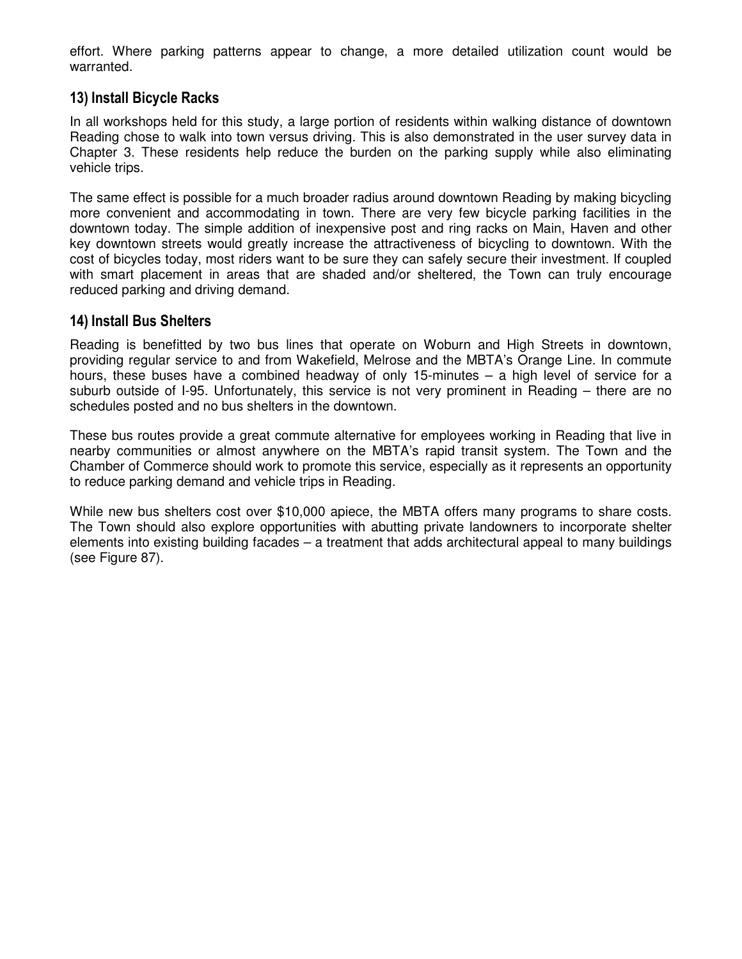effort. Where parking patterns appear to change, a more detailed utilization count would be warranted.

### 13) Install Bicycle Racks

In all workshops held for this study, a large portion of residents within walking distance of downtown Reading chose to walk into town versus driving. This is also demonstrated in the user survey data in Chapter 3. These residents help reduce the burden on the parking supply while also eliminating vehicle trips.

The same effect is possible for a much broader radius around downtown Reading by making bicycling more convenient and accommodating in town. There are very few bicycle parking facilities in the downtown today. The simple addition of inexpensive post and ring racks on Main, Haven and other key downtown streets would greatly increase the attractiveness of bicycling to downtown. With the cost of bicycles today, most riders want to be sure they can safely secure their investment. If coupled with smart placement in areas that are shaded and/or sheltered, the Town can truly encourage reduced parking and driving demand.

#### 14) Install Bus Shelters

Reading is benefitted by two bus lines that operate on Woburn and High Streets in downtown, providing regular service to and from Wakefield, Melrose and the MBTA's Orange Line. In commute hours, these buses have a combined headway of only 15-minutes – a high level of service for a suburb outside of I-95. Unfortunately, this service is not very prominent in Reading – there are no schedules posted and no bus shelters in the downtown.

These bus routes provide a great commute alternative for employees working in Reading that live in nearby communities or almost anywhere on the MBTA's rapid transit system. The Town and the Chamber of Commerce should work to promote this service, especially as it represents an opportunity to reduce parking demand and vehicle trips in Reading.

While new bus shelters cost over \$10,000 apiece, the MBTA offers many programs to share costs. The Town should also explore opportunities with abutting private landowners to incorporate shelter elements into existing building facades – a treatment that adds architectural appeal to many buildings (see Figure 87).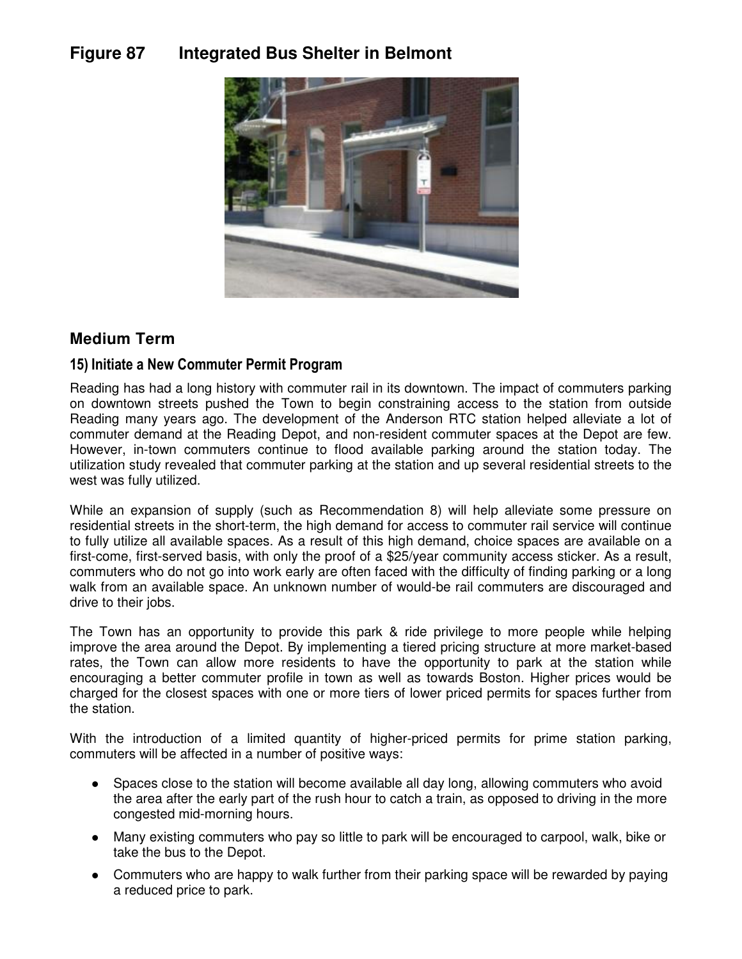# **Figure 87 Integrated Bus Shelter in Belmont**



# **Medium Term**

# 15) Initiate a New Commuter Permit Program

Reading has had a long history with commuter rail in its downtown. The impact of commuters parking on downtown streets pushed the Town to begin constraining access to the station from outside Reading many years ago. The development of the Anderson RTC station helped alleviate a lot of commuter demand at the Reading Depot, and non-resident commuter spaces at the Depot are few. However, in-town commuters continue to flood available parking around the station today. The utilization study revealed that commuter parking at the station and up several residential streets to the west was fully utilized.

While an expansion of supply (such as Recommendation 8) will help alleviate some pressure on residential streets in the short-term, the high demand for access to commuter rail service will continue to fully utilize all available spaces. As a result of this high demand, choice spaces are available on a first-come, first-served basis, with only the proof of a \$25/year community access sticker. As a result, commuters who do not go into work early are often faced with the difficulty of finding parking or a long walk from an available space. An unknown number of would-be rail commuters are discouraged and drive to their jobs.

The Town has an opportunity to provide this park & ride privilege to more people while helping improve the area around the Depot. By implementing a tiered pricing structure at more market-based rates, the Town can allow more residents to have the opportunity to park at the station while encouraging a better commuter profile in town as well as towards Boston. Higher prices would be charged for the closest spaces with one or more tiers of lower priced permits for spaces further from the station.

With the introduction of a limited quantity of higher-priced permits for prime station parking, commuters will be affected in a number of positive ways:

- Spaces close to the station will become available all day long, allowing commuters who avoid the area after the early part of the rush hour to catch a train, as opposed to driving in the more congested mid-morning hours.
- Many existing commuters who pay so little to park will be encouraged to carpool, walk, bike or take the bus to the Depot.
- Commuters who are happy to walk further from their parking space will be rewarded by paying a reduced price to park.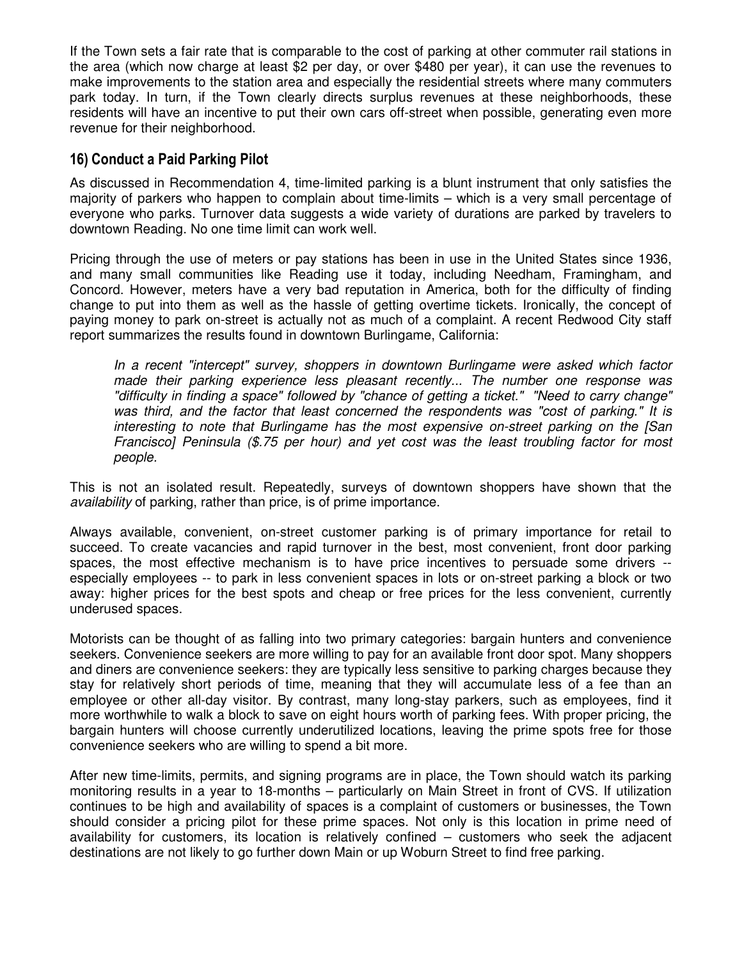If the Town sets a fair rate that is comparable to the cost of parking at other commuter rail stations in the area (which now charge at least \$2 per day, or over \$480 per year), it can use the revenues to make improvements to the station area and especially the residential streets where many commuters park today. In turn, if the Town clearly directs surplus revenues at these neighborhoods, these residents will have an incentive to put their own cars off-street when possible, generating even more revenue for their neighborhood.

### 16) Conduct a Paid Parking Pilot

As discussed in Recommendation 4, time-limited parking is a blunt instrument that only satisfies the majority of parkers who happen to complain about time-limits – which is a very small percentage of everyone who parks. Turnover data suggests a wide variety of durations are parked by travelers to downtown Reading. No one time limit can work well.

Pricing through the use of meters or pay stations has been in use in the United States since 1936, and many small communities like Reading use it today, including Needham, Framingham, and Concord. However, meters have a very bad reputation in America, both for the difficulty of finding change to put into them as well as the hassle of getting overtime tickets. Ironically, the concept of paying money to park on-street is actually not as much of a complaint. A recent Redwood City staff report summarizes the results found in downtown Burlingame, California:

In a recent "intercept" survey, shoppers in downtown Burlingame were asked which factor made their parking experience less pleasant recently... The number one response was "difficulty in finding a space" followed by "chance of getting a ticket." "Need to carry change" was third, and the factor that least concerned the respondents was "cost of parking." It is interesting to note that Burlingame has the most expensive on-street parking on the [San Francisco] Peninsula (\$.75 per hour) and yet cost was the least troubling factor for most people.

This is not an isolated result. Repeatedly, surveys of downtown shoppers have shown that the availability of parking, rather than price, is of prime importance.

Always available, convenient, on-street customer parking is of primary importance for retail to succeed. To create vacancies and rapid turnover in the best, most convenient, front door parking spaces, the most effective mechanism is to have price incentives to persuade some drivers - especially employees -- to park in less convenient spaces in lots or on-street parking a block or two away: higher prices for the best spots and cheap or free prices for the less convenient, currently underused spaces.

Motorists can be thought of as falling into two primary categories: bargain hunters and convenience seekers. Convenience seekers are more willing to pay for an available front door spot. Many shoppers and diners are convenience seekers: they are typically less sensitive to parking charges because they stay for relatively short periods of time, meaning that they will accumulate less of a fee than an employee or other all-day visitor. By contrast, many long-stay parkers, such as employees, find it more worthwhile to walk a block to save on eight hours worth of parking fees. With proper pricing, the bargain hunters will choose currently underutilized locations, leaving the prime spots free for those convenience seekers who are willing to spend a bit more.

After new time-limits, permits, and signing programs are in place, the Town should watch its parking monitoring results in a year to 18-months – particularly on Main Street in front of CVS. If utilization continues to be high and availability of spaces is a complaint of customers or businesses, the Town should consider a pricing pilot for these prime spaces. Not only is this location in prime need of availability for customers, its location is relatively confined – customers who seek the adjacent destinations are not likely to go further down Main or up Woburn Street to find free parking.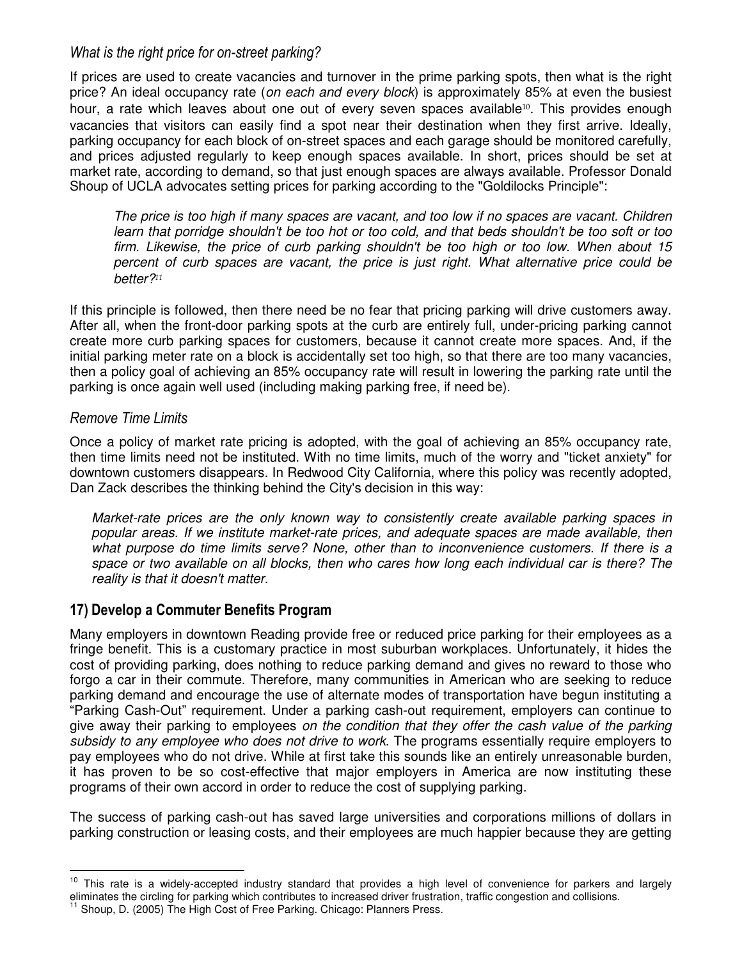### What is the right price for on-street parking?

If prices are used to create vacancies and turnover in the prime parking spots, then what is the right price? An ideal occupancy rate (on each and every block) is approximately 85% at even the busiest hour, a rate which leaves about one out of every seven spaces available<sup>10</sup>. This provides enough vacancies that visitors can easily find a spot near their destination when they first arrive. Ideally, parking occupancy for each block of on-street spaces and each garage should be monitored carefully, and prices adjusted regularly to keep enough spaces available. In short, prices should be set at market rate, according to demand, so that just enough spaces are always available. Professor Donald Shoup of UCLA advocates setting prices for parking according to the "Goldilocks Principle":

The price is too high if many spaces are vacant, and too low if no spaces are vacant. Children learn that porridge shouldn't be too hot or too cold, and that beds shouldn't be too soft or too firm. Likewise, the price of curb parking shouldn't be too high or too low. When about 15 percent of curb spaces are vacant, the price is just right. What alternative price could be better?<sup>11</sup>

If this principle is followed, then there need be no fear that pricing parking will drive customers away. After all, when the front-door parking spots at the curb are entirely full, under-pricing parking cannot create more curb parking spaces for customers, because it cannot create more spaces. And, if the initial parking meter rate on a block is accidentally set too high, so that there are too many vacancies, then a policy goal of achieving an 85% occupancy rate will result in lowering the parking rate until the parking is once again well used (including making parking free, if need be).

### Remove Time Limits

 $\overline{a}$ 

Once a policy of market rate pricing is adopted, with the goal of achieving an 85% occupancy rate, then time limits need not be instituted. With no time limits, much of the worry and "ticket anxiety" for downtown customers disappears. In Redwood City California, where this policy was recently adopted, Dan Zack describes the thinking behind the City's decision in this way:

Market-rate prices are the only known way to consistently create available parking spaces in popular areas. If we institute market-rate prices, and adequate spaces are made available, then what purpose do time limits serve? None, other than to inconvenience customers. If there is a space or two available on all blocks, then who cares how long each individual car is there? The reality is that it doesn't matter.

# 17) Develop a Commuter Benefits Program

Many employers in downtown Reading provide free or reduced price parking for their employees as a fringe benefit. This is a customary practice in most suburban workplaces. Unfortunately, it hides the cost of providing parking, does nothing to reduce parking demand and gives no reward to those who forgo a car in their commute. Therefore, many communities in American who are seeking to reduce parking demand and encourage the use of alternate modes of transportation have begun instituting a "Parking Cash-Out" requirement. Under a parking cash-out requirement, employers can continue to give away their parking to employees on the condition that they offer the cash value of the parking subsidy to any employee who does not drive to work. The programs essentially require employers to pay employees who do not drive. While at first take this sounds like an entirely unreasonable burden, it has proven to be so cost-effective that major employers in America are now instituting these programs of their own accord in order to reduce the cost of supplying parking.

The success of parking cash-out has saved large universities and corporations millions of dollars in parking construction or leasing costs, and their employees are much happier because they are getting

<sup>&</sup>lt;sup>10</sup> This rate is a widely-accepted industry standard that provides a high level of convenience for parkers and largely eliminates the circling for parking which contributes to increased driver frustration, traffic congestion and collisions.

Shoup, D. (2005) The High Cost of Free Parking. Chicago: Planners Press.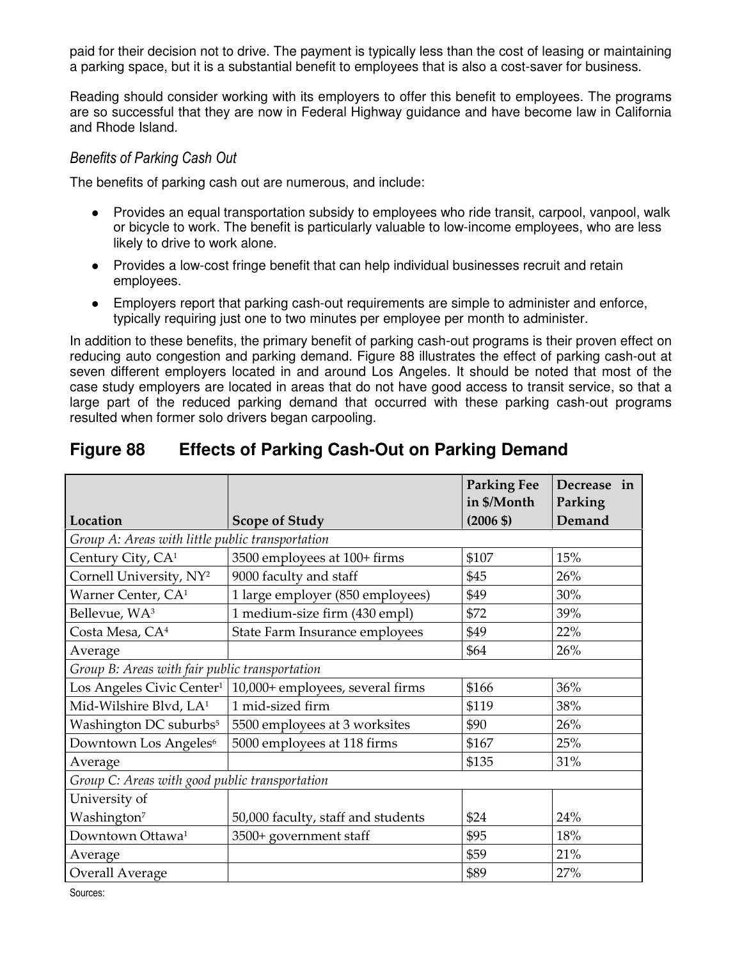paid for their decision not to drive. The payment is typically less than the cost of leasing or maintaining a parking space, but it is a substantial benefit to employees that is also a cost-saver for business.

Reading should consider working with its employers to offer this benefit to employees. The programs are so successful that they are now in Federal Highway guidance and have become law in California and Rhode Island.

#### Benefits of Parking Cash Out

The benefits of parking cash out are numerous, and include:

- Provides an equal transportation subsidy to employees who ride transit, carpool, vanpool, walk or bicycle to work. The benefit is particularly valuable to low-income employees, who are less likely to drive to work alone.
- Provides a low-cost fringe benefit that can help individual businesses recruit and retain employees.
- Employers report that parking cash-out requirements are simple to administer and enforce, typically requiring just one to two minutes per employee per month to administer.

In addition to these benefits, the primary benefit of parking cash-out programs is their proven effect on reducing auto congestion and parking demand. Figure 88 illustrates the effect of parking cash-out at seven different employers located in and around Los Angeles. It should be noted that most of the case study employers are located in areas that do not have good access to transit service, so that a large part of the reduced parking demand that occurred with these parking cash-out programs resulted when former solo drivers began carpooling.

# **Figure 88 Effects of Parking Cash-Out on Parking Demand**

|                                                  |                                    | <b>Parking Fee</b><br>in \$/Month | Decrease in<br>Parking |
|--------------------------------------------------|------------------------------------|-----------------------------------|------------------------|
| Location                                         | <b>Scope of Study</b>              | $(2006 \text{ } $)$               | Demand                 |
| Group A: Areas with little public transportation |                                    |                                   |                        |
| Century City, CA <sup>1</sup>                    | 3500 employees at 100+ firms       | \$107                             | 15%                    |
| Cornell University, NY <sup>2</sup>              | 9000 faculty and staff             | \$45                              | 26%                    |
| Warner Center, CA <sup>1</sup>                   | 1 large employer (850 employees)   | \$49                              | 30%                    |
| Bellevue, WA <sup>3</sup>                        | 1 medium-size firm (430 empl)      | \$72                              | 39%                    |
| Costa Mesa, CA <sup>4</sup>                      | State Farm Insurance employees     | \$49                              | 22%                    |
| Average                                          |                                    | \$64                              | 26%                    |
| Group B: Areas with fair public transportation   |                                    |                                   |                        |
| Los Angeles Civic Center <sup>1</sup>            | 10,000+ employees, several firms   | \$166                             | 36%                    |
| Mid-Wilshire Blvd, LA <sup>1</sup>               | 1 mid-sized firm                   | \$119                             | 38%                    |
| Washington DC suburbs <sup>5</sup>               | 5500 employees at 3 worksites      | \$90                              | 26%                    |
| Downtown Los Angeles <sup>6</sup>                | 5000 employees at 118 firms        | \$167                             | 25%                    |
| Average                                          |                                    | \$135                             | 31%                    |
| Group C: Areas with good public transportation   |                                    |                                   |                        |
| University of                                    |                                    |                                   |                        |
| Washington <sup>7</sup>                          | 50,000 faculty, staff and students | \$24                              | 24%                    |
| Downtown Ottawa <sup>1</sup>                     | 3500+ government staff             | \$95                              | 18%                    |
| Average                                          |                                    | \$59                              | 21%                    |
| Overall Average                                  |                                    | \$89                              | 27%                    |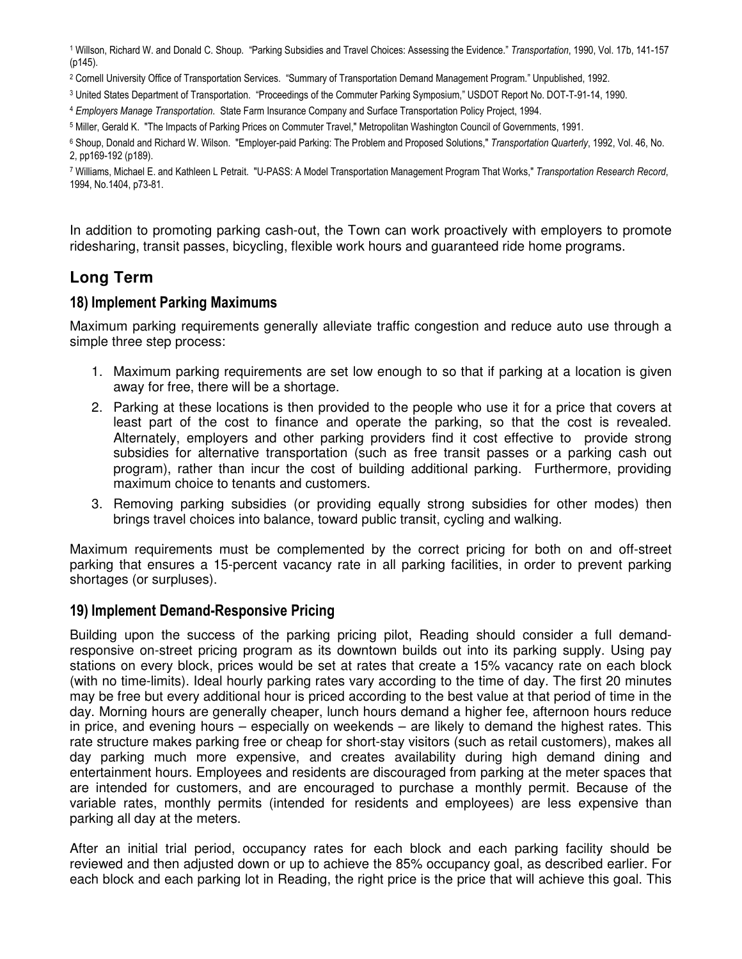<sup>1</sup> Willson, Richard W. and Donald C. Shoup. "Parking Subsidies and Travel Choices: Assessing the Evidence." Transportation, 1990, Vol. 17b, 141-157 (p145).

2 Cornell University Office of Transportation Services. "Summary of Transportation Demand Management Program." Unpublished, 1992.

3 United States Department of Transportation. "Proceedings of the Commuter Parking Symposium," USDOT Report No. DOT-T-91-14, 1990.

<sup>4</sup> Employers Manage Transportation. State Farm Insurance Company and Surface Transportation Policy Project, 1994.

5 Miller, Gerald K. "The Impacts of Parking Prices on Commuter Travel," Metropolitan Washington Council of Governments, 1991.

<sup>6</sup> Shoup, Donald and Richard W. Wilson. "Employer-paid Parking: The Problem and Proposed Solutions," Transportation Quarterly, 1992, Vol. 46, No. 2, pp169-192 (p189).

<sup>7</sup> Williams, Michael E. and Kathleen L Petrait. "U-PASS: A Model Transportation Management Program That Works," Transportation Research Record, 1994, No.1404, p73-81.

In addition to promoting parking cash-out, the Town can work proactively with employers to promote ridesharing, transit passes, bicycling, flexible work hours and guaranteed ride home programs.

# **Long Term**

### 18) Implement Parking Maximums

Maximum parking requirements generally alleviate traffic congestion and reduce auto use through a simple three step process:

- 1. Maximum parking requirements are set low enough to so that if parking at a location is given away for free, there will be a shortage.
- 2. Parking at these locations is then provided to the people who use it for a price that covers at least part of the cost to finance and operate the parking, so that the cost is revealed. Alternately, employers and other parking providers find it cost effective to provide strong subsidies for alternative transportation (such as free transit passes or a parking cash out program), rather than incur the cost of building additional parking. Furthermore, providing maximum choice to tenants and customers.
- 3. Removing parking subsidies (or providing equally strong subsidies for other modes) then brings travel choices into balance, toward public transit, cycling and walking.

Maximum requirements must be complemented by the correct pricing for both on and off-street parking that ensures a 15-percent vacancy rate in all parking facilities, in order to prevent parking shortages (or surpluses).

#### 19) Implement Demand-Responsive Pricing

Building upon the success of the parking pricing pilot, Reading should consider a full demandresponsive on-street pricing program as its downtown builds out into its parking supply. Using pay stations on every block, prices would be set at rates that create a 15% vacancy rate on each block (with no time-limits). Ideal hourly parking rates vary according to the time of day. The first 20 minutes may be free but every additional hour is priced according to the best value at that period of time in the day. Morning hours are generally cheaper, lunch hours demand a higher fee, afternoon hours reduce in price, and evening hours – especially on weekends – are likely to demand the highest rates. This rate structure makes parking free or cheap for short-stay visitors (such as retail customers), makes all day parking much more expensive, and creates availability during high demand dining and entertainment hours. Employees and residents are discouraged from parking at the meter spaces that are intended for customers, and are encouraged to purchase a monthly permit. Because of the variable rates, monthly permits (intended for residents and employees) are less expensive than parking all day at the meters.

After an initial trial period, occupancy rates for each block and each parking facility should be reviewed and then adjusted down or up to achieve the 85% occupancy goal, as described earlier. For each block and each parking lot in Reading, the right price is the price that will achieve this goal. This